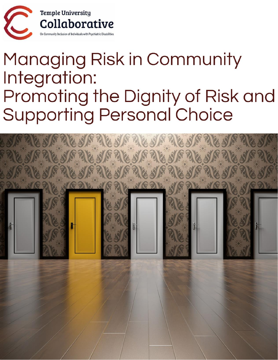

## Managing Risk in Community Integration: Promoting the Dignity of Risk and **Supporting Personal Choice**

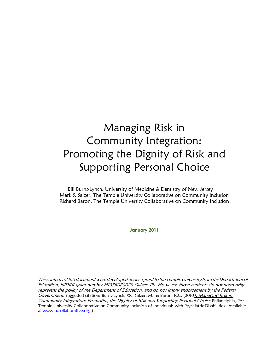## Managing Risk in Community Integration: Promoting the Dignity of Risk and Supporting Personal Choice

Bill Burns-Lynch, University of Medicine & Dentistry of New Jersey Mark S. Salzer, The Temple University Collaborative on Community Inclusion Richard Baron, The Temple University Collaborative on Community Inclusion

**January 2011**

The contents of this document were developed under a grant to the Temple University from the Department of Education, NIDRR grant number H133B080029 (Salzer, PI). However, those contents do not necessarily represent the policy of the Department of Education, and do not imply endorsement by the Federal Government. Suggested citation: Burns-Lynch, W., Salzer, M., & Baron, R.C. (2010). Managing Risk in Community Integration: Promoting the Dignity of Risk and Supporting Personal Choice Philadelphia, PA: Temple University Collaborative on Community Inclusion of Individuals with Psychiatric Disabilities. Available at [www.tucollaborative.org.](http://www.tucollaborative.org/))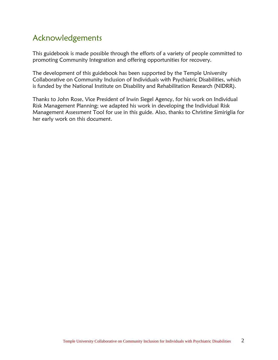#### Acknowledgements

This guidebook is made possible through the efforts of a variety of people committed to promoting Community Integration and offering opportunities for recovery.

The development of this guidebook has been supported by the Temple University Collaborative on Community Inclusion of Individuals with Psychiatric Disabilities, which is funded by the National Institute on Disability and Rehabilitation Research (NIDRR).

Thanks to John Rose, Vice President of Irwin Siegel Agency, for his work on Individual Risk Management Planning; we adapted his work in developing the Individual Risk Management Assessment Tool for use in this guide. Also, thanks to Christine Simiriglia for her early work on this document.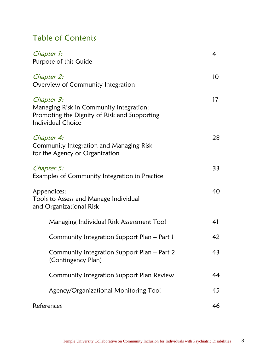### Table of Contents

| Chapter 1:<br>Purpose of this Guide                                                                                               | 4               |
|-----------------------------------------------------------------------------------------------------------------------------------|-----------------|
| Chapter 2:<br>Overview of Community Integration                                                                                   | 10 <sup>°</sup> |
| Chapter 3:<br>Managing Risk in Community Integration:<br>Promoting the Dignity of Risk and Supporting<br><b>Individual Choice</b> | 17              |
| Chapter 4:<br><b>Community Integration and Managing Risk</b><br>for the Agency or Organization                                    | 28              |
| Chapter 5:<br>Examples of Community Integration in Practice                                                                       | 33              |
| Appendices:<br>Tools to Assess and Manage Individual<br>and Organizational Risk                                                   | 40              |
| Managing Individual Risk Assessment Tool                                                                                          | 41              |
| Community Integration Support Plan – Part 1                                                                                       | 42              |
| Community Integration Support Plan - Part 2<br>(Contingency Plan)                                                                 | 43              |
| Community Integration Support Plan Review                                                                                         | 44              |
| Agency/Organizational Monitoring Tool                                                                                             | 45              |
| References                                                                                                                        | 46              |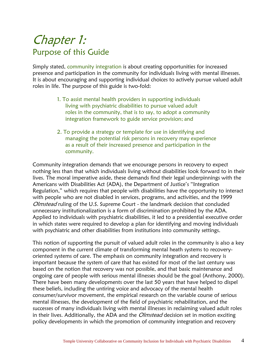## Chapter 1: Purpose of this Guide

Simply stated, community integration is about creating opportunities for increased presence and participation in the community for individuals living with mental illnesses. It is about encouraging and supporting individual choices to actively pursue valued adult roles in life. The purpose of this guide is two-fold:

- 1. To assist mental health providers in supporting individuals living with psychiatric disabilities to pursue valued adult roles in the community, that is to say, to adopt a community integration framework to guide service provision; and
- 2. To provide a strategy or template for use in identifying and managing the potential risk persons in recovery may experience as a result of their increased presence and participation in the community.

Community integration demands that we encourage persons in recovery to expect nothing less than that which individuals living without disabilities look forward to in their lives. The moral imperative aside, these demands find their legal underpinnings with the Americans with Disabilities Act (ADA), the Department of Justice's "Integration Regulation," which requires that people with disabilities have the opportunity to interact with people who are not disabled in services, programs, and activities, and the 1999 Olmstead ruling of the U.S. Supreme Court - the landmark decision that concluded unnecessary institutionalization is a form of discrimination prohibited by the ADA. Applied to individuals with psychiatric disabilities, it led to a presidential executive order in which states were required to develop a plan for identifying and moving individuals with psychiatric and other disabilities from institutions into community settings.

This notion of supporting the pursuit of valued adult roles in the community is also a key component in the current climate of transforming mental heath systems to recoveryoriented systems of care. The emphasis on community integration and recovery is important because the system of care that has existed for most of the last century was based on the notion that recovery was not possible, and that basic maintenance and ongoing care of people with serious mental illnesses should be the goal (Anthony, 2000). There have been many developments over the last 50 years that have helped to dispel these beliefs, including the untiring voice and advocacy of the mental health consumer/survivor movement, the empirical research on the variable course of serious mental illnesses, the development of the field of psychiatric rehabilitation, and the successes of many individuals living with mental illnesses in reclaiming valued adult roles in their lives. Additionally, the ADA and the *Olmstead* decision set in motion exciting policy developments in which the promotion of community integration and recovery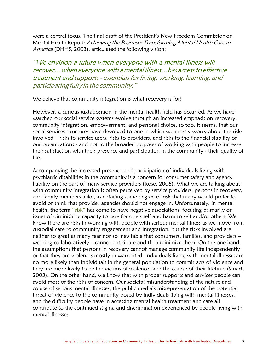were a central focus. The final draft of the President's New Freedom Commission on Mental Health Report: Achieving the Promise: Transforming Mental Health Care in America (DHHS, 2003), articulated the following vision:

"We envision a future when everyone with a mental illness will recover…when everyone with <sup>a</sup> mental illness…has accessto effective treatment and supports - essentials for living, working, learning, and participating fully in the community."

We believe that community integration is what recovery is for!

However, a curious juxtaposition in the mental health field has occurred. As we have watched our social service systems evolve through an increased emphasis on recovery, community integration, empowerment, and personal choice, so too, it seems, that our social services structures have devolved to one in which we mostly worry about the risks involved – risks to service users, risks to providers, and risks to the financial stability of our organizations - and not to the broader purposes of working with people to increase their satisfaction with their presence and participation in the community - their quality of life.

Accompanying the increased presence and participation of individuals living with psychiatric disabilities in the community is a concern for consumer safety and agency liability on the part of many service providers (Rose, 2006). What we are talking about with community integration is often perceived by service providers, persons in recovery, and family members alike, as entailing some degree of risk that many would prefer to avoid or think that provider agencies should not engage in. Unfortunately, in mental health, the term "risk" has come to have negative associations, focusing primarily on issues of diminishing capacity to care for one's self and harm to self and/or others. We know there are risks in working with people with serious mental illness as we move from custodial care to community engagement and integration, but the risks involved are neither so great as many fear nor so inevitable that consumers, families, and providers – working collaboratively – cannot anticipate and then minimize them. On the one hand, the assumptions that persons in recovery cannot manage community life independently or that they are violent is mostly unwarranted. Individuals living with mental illnesses are no more likely than individuals in the general population to commit acts of violence and they are more likely to be the victims of violence over the course of their lifetime (Stuart, 2003). On the other hand, we know that with proper supports and services people can avoid most of the risks of concern. Our societal misunderstanding of the nature and course of serious mental illnesses, the public media's misrepresentation of the potential threat of violence to the community posed by individuals living with mental illnesses, and the difficulty people have in accessing mental health treatment and care all contribute to the continued stigma and discrimination experienced by people living with mental illnesses.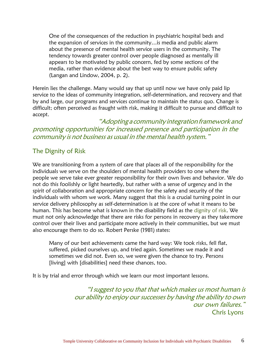One of the consequences of the reduction in psychiatric hospital beds and the expansion of services in the community…is media and public alarm about the presence of mental health service users in the community. The tendency towards greater control over people diagnosed as mentally ill appears to be motivated by public concern, fed by some sections of the media, rather than evidence about the best way to ensure public safety (Langan and Lindow, 2004, p. 2).

Herein lies the challenge. Many would say that up until now we have only paid lip service to the ideas of community integration, self-determination, and recovery and that by and large, our programs and services continue to maintain the status quo. Change is difficult; often perceived as fraught with risk, making it difficult to pursue and difficult to accept.

"Adopting a community integration framework and promoting opportunities for increased presence and participation in the community is not business as usual in the mental health system."

#### The Dignity of Risk

We are transitioning from a system of care that places all of the responsibility for the individuals we serve on the shoulders of mental health providers to one where the people we serve take ever greater responsibility for their own lives and behavior. We do not do this foolishly or light heartedly, but rather with a sense of urgency and in the spirit of collaboration and appropriate concern for the safety and security of the individuals with whom we work. Many suggest that this is a crucial turning point in our service delivery philosophy as self-determination is at the core of what it means to be human. This has become what is known in the disability field as the dignity of risk. We must not only acknowledge that there are risks for persons in recovery as they takemore control over their lives and participate more actively in their communities, but we must also encourage them to do so. Robert Perske (1981) states:

Many of our best achievements came the hard way: We took risks, fell flat, suffered, picked ourselves up, and tried again. Sometimes we made it and sometimes we did not. Even so, we were given the chance to try. Persons [living] with [disabilities] need these chances, too.

It is by trial and error through which we learn our most important lessons.

"I suggest to you that that which makes us most human is our ability to enjoy our successes by having the ability to own our own failures." Chris Lyons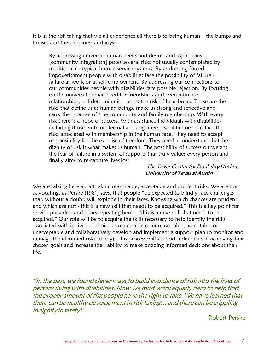It is in the risk taking that we all experience all there is to being human – the bumps and bruises and the happiness and joys.

By addressing universal human needs and desires and aspirations, [community integration] poses several risks not usually contemplated by traditional or typical human service systems. By addressing forced impoverishment people with disabilities face the possibility of failure failure at work or at self-employment. By addressing our connections to our communities people with disabilities face possible rejection. By focusing on the universal human need for friendships and even intimate relationships, self-determination poses the risk of heartbreak. These are the risks that define us as human beings, make us strong and reflective and carry the promise of true community and family membership. With every risk there is a hope of success. With assistance individuals with disabilities including those with intellectual and cognitive disabilities need to face the risks associated with membership in the human race. They need to accept responsibility for the exercise of freedom. They need to understand that the dignity of risk is what makes us human. The possibility of success outweighs the fear of failure in a system of supports that truly values every person and finally aims to re-capture lives lost.

#### The Texas Center for Disability Studies, UniversityofTexas atAustin

We are talking here about taking reasonable, acceptable and prudent risks. We are not advocating, as Perske (1981) says, that people "be expected to blindly face challenges that, without a doubt, will explode in their faces. Knowing which chances are prudent and which are not - this is a new skill that needs to be acquired." This is a key point for service providers and bears repeating here – "this is a new skill that needs to be acquired." Our role will be to acquire the skills necessary to help identify the risks associated with individual choice as reasonable or unreasonable, acceptable or unacceptable and collaboratively develop and implement a support plan to monitor and manage the identified risks (if any). This process will support individuals in achievingtheir chosen goals and increase their ability to make ongoing informed decisions about their life.

"In the past, we found clever ways to build avoidance of risk into the lives of persons living with disabilities. Now we must work equally hard to help find the proper amount of risk people have the right to take. We have learned that there can be healthy development in risk taking... and there can be crippling indignity insafety!"

#### Robert Perske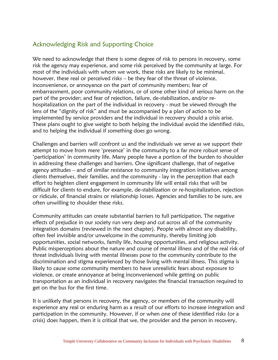#### Acknowledging Risk and Supporting Choice

We need to acknowledge that there is some degree of risk to persons in recovery, some risk the agency may experience, and some risk perceived by the community at large. For most of the individuals with whom we work, these risks are likely to be minimal, however, these real or perceived risks – be they fear of the threat of violence, inconvenience, or annoyance on the part of community members; fear of embarrassment, poor community relations, or of some other kind of serious harm on the part of the provider; and fear of rejection, failure, de-stabilization, and/or rehospitalization on the part of the individual in recovery - must be viewed through the lens of the "dignity of risk" and must be accompanied by a plan of action to be implemented by service providers and the individual in recovery should a crisis arise. These plans ought to give weight to both helping the individual avoid the identified risks, and to helping the individual if something does go wrong.

Challenges and barriers will confront us and the individuals we serve as we support their attempt to move from mere 'presence' in the community to a far more robust sense of 'participation' in community life. Many people have a portion of the burden to shoulder in addressing these challenges and barriers. One significant challenge, that of negative agency attitudes – and of similar resistance to community integration initiatives among clients themselves, their families, and the community - lay in the perception that each effort to heighten client engagement in community life will entail risks that will be difficult for clients to endure, for example, de-stabilization or re-hospitalization, rejection or ridicule, of financial strains or relationship losses. Agencies and families to be sure, are often unwilling to shoulder these risks.

Community attitudes can create substantial barriers to full participation. The negative effects of prejudice in our society run very deep and cut across all of the community integration domains (reviewed in the next chapter). People with almost any disability, often feel invisible and/or unwelcome in the community, thereby limiting job opportunities, social networks, family life, housing opportunities, and religious activity. Public misperceptions about the nature and course of mental illness and of the real risk of threat individuals living with mental illnesses pose to the community contribute to the discrimination and stigma experienced by those living with mental illness. This stigma is likely to cause some community members to have unrealistic fears about exposure to violence, or create annoyance at being inconvenienced while getting on public transportation as an individual in recovery navigates the financial transaction required to get on the bus for the first time.

It is unlikely that persons in recovery, the agency, or members of the community will experience any real or enduring harm as a result of our efforts to increase integration and participation in the community. However, if or when one of these identified risks (or a crisis) does happen, then it is critical that we, the provider and the person in recovery,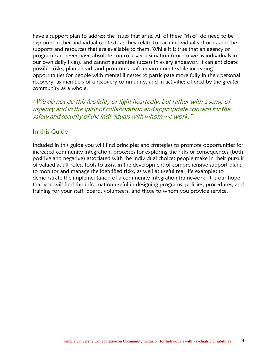have a support plan to address the issues that arise. All of these "risks" do need to be explored in their individual contexts as they relate to each individual's choices and the supports and resources that are available to them. While it is true that an agency or program can never have absolute control over a situation (nor do we as individuals in our own daily lives), and cannot guarantee success in every endeavor, it can anticipate possible risks, plan ahead, and promote a safe environment while increasing opportunities for people with mental illnesses to participate more fully in their personal recovery, as members of a recovery community, and in activities offered by the greater community as a whole.

"We do not do this foolishly or light heartedly, but rather with <sup>a</sup> sense of urgency and in the spirit of collaboration and appropriate concern for the safety and security of the individuals with whom we work."

#### In this Guide

Included in this guide you will find principles and strategies to promote opportunities for increased community integration, processes for exploring the risks or consequences (both positive and negative) associated with the individual choices people make in their pursuit of valued adult roles, tools to assist in the development of comprehensive support plans to monitor and manage the identified risks, as well as useful real life examples to demonstrate the implementation of a community integration framework. It is our hope that you will find this information useful in designing programs, policies, procedures, and training for your staff, board, volunteers, and those to whom you provide service.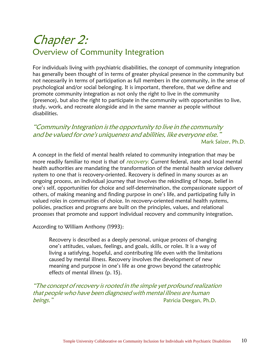## Chapter 2: Overview of Community Integration

For individuals living with psychiatric disabilities, the concept of community integration has generally been thought of in terms of greater physical presence in the community but not necessarily in terms of participation as full members in the community, in the sense of psychological and/or social belonging. It is important, therefore, that we define and promote community integration as not only the right to live in the community (presence), but also the right to participate in the community with opportunities to live, study, work, and recreate alongside and in the same manner as people without disabilities.

#### "Community Integration isthe opportunity to live in the community and be valued for one's uniqueness and abilities, like everyone else." Mark Salzer, Ph.D.

A concept in the field of mental health related to community integration that may be more readily familiar to most is that of recovery. Current federal, state and local mental health authorities are mandating the transformation of the mental health service delivery system to one that is recovery-oriented. Recovery is defined in many sources as an ongoing process, an individual journey that involves the rekindling of hope, belief in one's self, opportunities for choice and self-determination, the compassionate support of others, of making meaning and finding purpose in one's life, and participating fully in valued roles in communities of choice. In recovery-oriented mental health systems, policies, practices and programs are built on the principles, values, and relational processes that promote and support individual recovery and community integration.

According to William Anthony (1993):

Recovery is described as a deeply personal, unique process of changing one's attitudes, values, feelings, and goals, skills, or roles. It is a way of living a satisfying, hopeful, and contributing life even with the limitations caused by mental illness. Recovery involves the development of new meaning and purpose in one's life as one grows beyond the catastrophic effects of mental illness (p. 15).

"The concept ofrecovery isrooted in the simple yet profound realization that people who have been diagnosed with mental illness are human **beings.**" **Patricia Deegan, Ph.D.**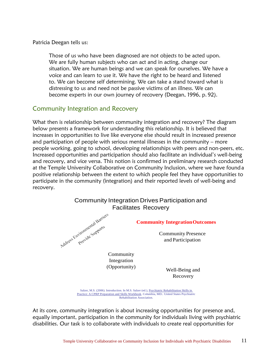Patricia Deegan tells us:

Those of us who have been diagnosed are not objects to be acted upon. We are fully human subjects who can act and in acting, change our situation. We are human beings and we can speak for ourselves. We have a voice and can learn to use it. We have the right to be heard and listened to. We can become self determining. We can take a stand toward what is distressing to us and need not be passive victims of an illness. We can become experts in our own journey of recovery (Deegan, 1996, p. 92).

#### Community Integration and Recovery

What then is relationship between community integration and recovery? The diagram below presents a framework for understanding this relationship. It is believed that increases in opportunities to live like everyone else should result in increased presence and participation of people with serious mental illnesses in the community – more people working, going to school, developing relationships with peers and non-peers, etc. Increased opportunities and participation should also facilitate an individual's well-being and recovery, and vice versa. This notion is confirmed in preliminary research conducted at the Temple University Collaborative on Community Inclusion, where we have found a positive relationship between the extent to which people feel they have opportunities to participate in the community (integration) and their reported levels of well-being and recovery.



Practice: A CPRP Preparation and Skills Workbook. Columbia, MD.: United States Psychiatric Rehabilitation Association.

At its core, community integration is about increasing opportunities for presence and, equally important, participation in the community for individuals living with psychiatric disabilities. Our task is to collaborate with individuals to create real opportunities for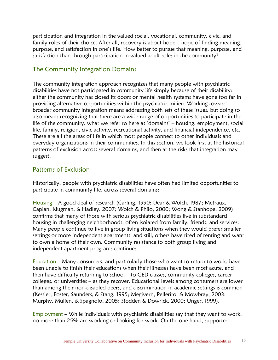participation and integration in the valued social, vocational, community, civic, and family roles of their choice. After all, recovery is about hope – hope of finding meaning, purpose, and satisfaction in one's life. How better to pursue that meaning, purpose, and satisfaction than through participation in valued adult roles in the community?

#### The Community Integration Domains

The community integration approach recognizes that many people with psychiatric disabilities have not participated in community life simply because of their disability: either the community has closed its doors or mental health systems have gone too far in providing alternative opportunities within the psychiatric milieu. Working toward broader community integration means addressing both sets of these issues, but doing so also means recognizing that there are a wide range of opportunities to participate in the life of the community, what we refer to here as 'domains' – housing, employment, social life, family, religion, civic activity, recreational activity, and financial independence, etc. These are all the areas of life in which most people connect to other individuals and everyday organizations in their communities. In this section, we look first at the historical patterns of exclusion across several domains, and then at the risks that integration may suggest.

#### Patterns of Exclusion

Historically, people with psychiatric disabilities have often had limited opportunities to participate in community life, across several domains:

Housing – A good deal of research (Carling, 1990; Dear & Wolch, 1987; Metraux, Caplan, Klugman, & Hadley, 2007; Wolch & Philo, 2000; Wong & Stanhope, 2009) confirms that many of those with serious psychiatric disabilities live in substandard housing in challenging neighborhoods, often isolated from family, friends, and services. Many people continue to live in group living situations when they would prefer smaller settings or more independent apartments, and still, others have tired of renting and want to own a home of their own. Community resistance to both group living and independent apartment programs continues.

Education – Many consumers, and particularly those who want to return to work, have been unable to finish their educations when their illnesses have been most acute, and then have difficulty returning to school – to GED classes, community colleges, career colleges, or universities – as they recover. Educational levels among consumers are lower than among their non-disabled peers, and discrimination in academic settings is common (Kessler, Foster, Saunders, & Stang, 1995; Megivern, Pellerito, & Mowbray, 2003; Murphy, Mullen, & Spagnolo, 2005; Stodden & Dowrick, 2000; Unger, 1999).

Employment – While individuals with psychiatric disabilities say that they want to work, no more than 25% are working or looking for work. On the one hand, supported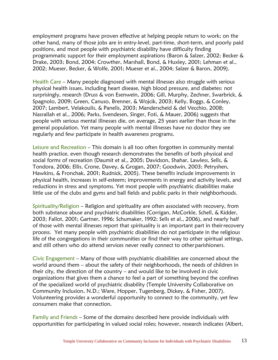employment programs have proven effective at helping people return to work; on the other hand, many of those jobs are in entry-level, part-time, short-term, and poorly paid positions, and most people with psychiatric disability have difficulty finding programmatic support for their employment aspirations (Baron & Salzer, 2002; Becker & Drake, 2003; Bond, 2004; Crowther, Marshall, Bond, & Huxley, 2001; Lehman et al., 2002; Mueser, Becker, & Wolfe, 2001; Mueser et al., 2004; Salzer & Baron, 2009).

Health Care – Many people diagnosed with mental illnesses also struggle with serious physical health issues, including heart disease, high blood pressure, and diabetes: not surprisingly, research (Druss & von Esenwein, 2006; Gill, Murphy, Zechner, Swarbrick, & Spagnolo, 2009; Green, Canuso, Brenner, & Wojcik, 2003; Kelly, Boggs, & Conley, 2007; Lambert, Velakoulis, & Panelis, 2003; Manderscheid & del Vecchio, 2008; Nasrallah et al., 2006; Parks, Svendesen, Singer, Foti, & Mauer, 2006) suggests that people with serious mental illnesses die, on average, 25 years earlier than those in the general population. Yet many people with mental illnesses have no doctor they see regularly and few participate in health awareness programs.

Leisure and Recreation – This domain is all too often forgotten in community mental health practice, even though research demonstrates the benefits of both physical and social forms of recreation (Daumit et al., 2005; Davidson, Shahar, Lawless, Sells, & Tondora, 2006; Ellis, Crone, Davey, & Grogan, 2007; Goodwin, 2003; Petryshen, Hawkins, & Fronchak, 2001; Rudnick, 2005). These benefits include improvements in physical health, increases in self-esteem; improvements in energy and activity levels, and reductions in stress and symptoms. Yet most people with psychiatric disabilities make little use of the clubs and gyms and ball fields and public parks in their neighborhoods.

Spirituality/Religion – Religion and spirituality are often associated with recovery, from both substance abuse and psychiatric disabilities (Corrigan, McCorkle, Schell, & Kidder, 2003; Fallot, 2001; Gartner, 1996; Schumaker, 1992; Sells et al., 2006), and nearly half of those with mental illnesses report that spirituality is an important part in theirrecovery process. Yet many people with psychiatric disabilities do not participate in the religious life of the congregations in their communities or find their way to other spiritual settings, and still others who do attend services never really connect to other parishioners.

Civic Engagement – Many of those with psychiatric disabilities are concerned about the world around them – about the safety of their neighborhoods, the needs of children in their city, the direction of the country – and would like to be involved in civic organizations that gives them a chance to feel a part of something beyond the confines of the specialized world of psychiatric disability (Temple University Collaborative on Community Inclusion, N.D.; Ware, Hopper, Tugenberg, Dickey, & Fisher, 2007). Volunteering provides a wonderful opportunity to connect to the community, yet few consumers make that connection.

Family and Friends – Some of the domains described here provide individuals with opportunities for participating in valued social roles; however, research indicates (Albert,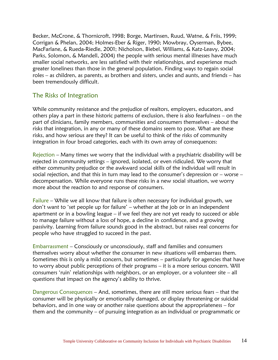Becker, McCrone, & Thornicroft, 1998; Borge, Martinsen, Ruud, Watne, & Friis, 1999; Corrigan & Phelan, 2004; Holmes-Eber & Riger, 1990; Mowbray, Oyserman, Bybee, MacFarlane, & Rueda-Riedle, 2001; Nicholson, Biebel, Williams, & Katz-Leavy, 2004; Parks, Solomon, & Mandell, 2004) the people with serious mental illnesses have much smaller social networks, are less satisfied with their relationships, and experience much greater loneliness than those in the general population. Finding ways to regain social roles – as children, as parents, as brothers and sisters, uncles and aunts, and friends – has been tremendously difficult.

#### The Risks of Integration

While community resistance and the prejudice of realtors, employers, educators, and others play a part in these historic patterns of exclusion, there is also fearfulness – on the part of clinicians, family members, communities and consumers themselves – about the risks that integration, in any or many of these domains seem to pose. What are these risks, and how serious are they? It can be useful to think of the risks of community integration in four broad categories, each with its own array of consequences:

Rejection – Many times we worry that the individual with a psychiatric disability will be rejected in community settings – ignored, isolated, or even ridiculed. We worry that either community prejudice or the awkward social skills of the individual will result in social rejection, and that this in turn may lead to the consumer's depression or – worse – decompensation. While everyone runs these risks in a new social situation, we worry more about the reaction to and response of consumers.

Failure – While we all know that failure is often necessary for individual growth, we don't want to 'set people up for failure' – whether at the job or in an independent apartment or in a bowling league – if we feel they are not yet ready to succeed or able to manage failure without a loss of hope, a decline in confidence, and a growing passivity. Learning from failure sounds good in the abstract, but raises real concerns for people who have struggled to succeed in the past.

Embarrassment – Consciously or unconsciously, staff and families and consumers themselves worry about whether the consumer in new situations will embarrass them. Sometimes this is only a mild concern, but sometimes – particularly for agencies that have to worry about public perceptions of their programs – it is a more serious concern. Will consumers 'ruin' relationships with neighbors, or an employer, or a volunteer site – all questions that impact on the agency's ability to thrive.

Dangerous Consequences – And, sometimes, there are still more serious fears – that the consumer will be physically or emotionally damaged, or display threatening or suicidal behaviors, and in one way or another raise questions about the appropriateness – for them and the community – of pursuing integration as an individual or programmatic or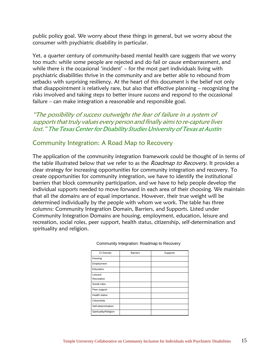public policy goal. We worry about these things in general, but we worry about the consumer with psychiatric disability in particular.

Yet, a quarter century of community-based mental health care suggests that we worry too much: while some people are rejected and do fail or cause embarrassment, and while there is the occasional 'incident' – for the most part individuals living with psychiatric disabilities thrive in the community and are better able to rebound from setbacks with surprising resiliency. At the heart of this document is the belief not only that disappointment is relatively rare, but also that effective planning – recognizing the risks involved and taking steps to better insure success and respond to the occasional failure – can make integration a reasonable and responsible goal.

"The possibility of success outweighs the fear of failure in a system of supports that truly values every person and finally aims to re-capture lives lost." The Texas Center for Disability Studies University of Texas at Austin

#### Community Integration: A Road Map to Recovery

The application of the community integration framework could be thought of in terms of the table illustrated below that we refer to as the Roadmap to Recovery. It provides a clear strategy for increasing opportunities for community integration and recovery. To create opportunities for community integration, we have to identify the institutional barriers that block community participation, and we have to help people develop the individual supports needed to move forward in each area of their choosing. We maintain that all the domains are of equal importance. However, their true weight will be determined individually by the people with whom we work. The table has three columns: Community Integration Domain, Barriers, and Supports. Listed under Community Integration Domains are housing, employment, education, leisure and recreation, social roles, peer support, health status, citizenship, self-determination and spirituality and religion.

| CI Domain             | <b>Barriers</b> | Supports |
|-----------------------|-----------------|----------|
| Housing               |                 |          |
| Employment            |                 |          |
| Education             |                 |          |
| Leisure/              |                 |          |
| Recreation            |                 |          |
| Social roles          |                 |          |
| Peer support          |                 |          |
| <b>Health status</b>  |                 |          |
| Citizenship           |                 |          |
| Self-determination    |                 |          |
| Spirituality/Religion |                 |          |

Community Integration: Roadmap to Recovery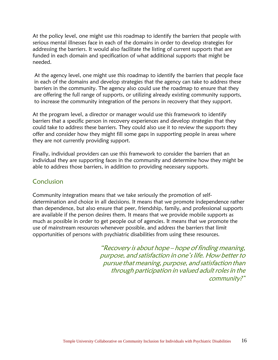At the policy level, one might use this roadmap to identify the barriers that people with serious mental illnesses face in each of the domains in order to develop strategies for addressing the barriers. It would also facilitate the listing of current supports that are funded in each domain and specification of what additional supports that might be needed.

At the agency level, one might use this roadmap to identify the barriers that people face in each of the domains and develop strategies that the agency can take to address these barriers in the community. The agency also could use the roadmap to ensure that they are offering the full range of supports, or utilizing already existing community supports, to increase the community integration of the persons in recovery that they support.

At the program level, a director or manager would use this framework to identify barriers that a specific person in recovery experiences and develop strategies that they could take to address these barriers. They could also use it to review the supports they offer and consider how they might fill some gaps in supporting people in areas where they are not currently providing support.

Finally, individual providers can use this framework to consider the barriers that an individual they are supporting faces in the community and determine how they might be able to address those barriers, in addition to providing necessary supports.

#### Conclusion

Community integration means that we take seriously the promotion of selfdetermination and choice in all decisions. It means that we promote independence rather than dependence, but also ensure that peer, friendship, family, and professional supports are available if the person desires them. It means that we provide mobile supports as much as possible in order to get people out of agencies. It means that we promote the use of mainstream resources whenever possible, and address the barriers that limit opportunities of persons with psychiatric disabilities from using these resources.

> "Recovery is about hope – hope of finding meaning, purpose, and satisfaction in one's life. How better to pursue that meaning, purpose, and satisfaction than through participation in valued adult roles in the community?"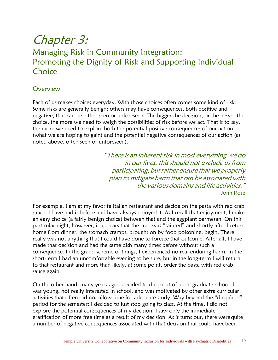## Chapter 3: Managing Risk in Community Integration: Promoting the Dignity of Risk and Supporting Individual **Choice**

#### **Overview**

Each of us makes choices everyday. With those choices often comes some kind of risk. Some risks are generally benign; others may have consequences, both positive and negative, that can be either seen or unforeseen. The bigger the decision, or the newer the choice, the more we need to weigh the possibilities of risk before we act. That is to say, the more we need to explore both the potential positive consequences of our action (what we are hoping to gain) and the potential negative consequences of our action (as noted above, often seen or unforeseen).

> "There is an inherent risk in most everything we do in our lives, this should not exclude us from participating, but rather ensure that we properly plan to mitigate harm that can be associated with the various domains and life activities." John Rose

For example, I am at my favorite Italian restaurant and decide on the pasta with red crab sauce. I have had it before and have always enjoyed it. As I recall that enjoyment, I make an easy choice (a fairly benign choice) between that and the eggplant parmesan. On this particular night, however, it appears that the crab was "tainted" and shortly after I return home from dinner, the stomach cramps, brought on by food poisoning, begin. There really was not anything that I could have done to foresee that outcome. After all, I have made that decision and had the same dish many times before without such a consequence. In the grand scheme of things, I experienced no real enduring harm. In the short-term I had an uncomfortable evening to be sure, but in the long-term I will return to that restaurant and more than likely, at some point, order the pasta with red crab sauce again.

On the other hand, many years ago I decided to drop out of undergraduate school. I was young, not really interested in school, and was motivated by other extra curricular activities that often did not allow time for adequate study. Way beyond the "drop/add" period for the semester; I decided to just stop going to class. At the time, I did not explore the potential consequences of my decision. I saw only the immediate gratification of more free time as a result of my decision. As it turns out, there werequite a number of negative consequences associated with that decision that could havebeen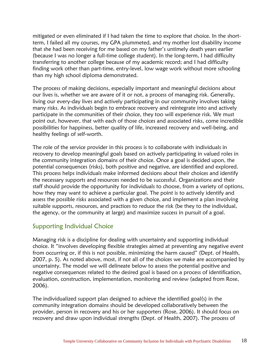mitigated or even eliminated if I had taken the time to explore that choice. In the shortterm, I failed all my courses, my GPA plummeted, and my mother lost disability income that she had been receiving for me based on my father's untimely death years earlier (because I was no longer a full-time college student). In the long-term, I had difficulty transferring to another college because of my academic record; and I had difficulty finding work other than part-time, entry-level, low wage work without more schooling than my high school diploma demonstrated.

The process of making decisions, especially important and meaningful decisions about our lives is, whether we are aware of it or not, a process of managing risk. Generally, living our every-day lives and actively participating in our community involves taking many risks. As individuals begin to embrace recovery and reintegrate into and actively participate in the communities of their choice, they too will experience risk. We must point out, however, that with each of those choices and associated risks, come incredible possibilities for happiness, better quality of life, increased recovery and well-being, and healthy feelings of self-worth.

The role of the service provider in this process is to collaborate with individuals in recovery to develop meaningful goals based on actively participating in valued roles in the community integration domains of their choice. Once a goal is decided upon, the potential consequences (risks), both positive and negative, are identified and explored. This process helps individuals make informed decisions about their choices and identify the necessary supports and resources needed to be successful. Organizations and their staff should provide the opportunity for individuals to choose, from a variety of options, how they may want to achieve a particular goal. The point is to actively identify and assess the possible risks associated with a given choice, and implement a plan involving suitable supports, resources, and practices to reduce the risk (be they to the individual, the agency, or the community at large) and maximize success in pursuit of a goal.

#### Supporting Individual Choice

Managing risk is a discipline for dealing with uncertainty and supporting individual choice. It "involves developing flexible strategies aimed at preventing any negative event from occurring or, if this is not possible, minimizing the harm caused" (Dept. of Health, 2007, p. 5). As noted above, most, if not all of the choices we make are accompanied by uncertainty. The model we will delineate below to assess the potential positive and negative consequences related to the desired goal is based on a process of identification, evaluation, construction, implementation, monitoring and review (adapted from Rose, 2006).

The individualized support plan designed to achieve the identified goal(s) in the community integration domains should be developed collaboratively between the provider, person in recovery and his or her supporters (Rose, 2006). It should focus on recovery and draw upon individual strengths (Dept. of Health, 2007). The process of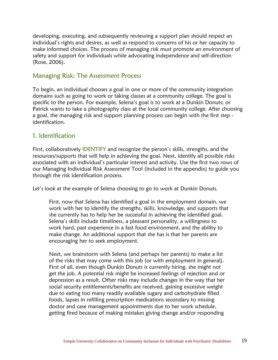developing, executing, and subsequently reviewing a support plan should respect an individual's rights and desires, as well as respond to concerns of his or her capacity to make informed choices. The process of managing risk must promote an environment of safety and support for individuals while advocating independence and self-direction (Rose, 2006).

#### Managing Risk: The Assessment Process

To begin, an individual chooses a goal in one or more of the community integration domains such as going to work or taking classes at a community college. The goal is specific to the person. For example, Selena's goal is to work at a Dunkin Donuts; or Patrick wants to take a photography class at the local community college. After choosing a goal, the managing risk and support planning process can begin with the first step identification.

#### 1. Identification

First, collaboratively IDENTIFY and recognize the person's skills, strengths, and the resources/supports that will help in achieving the goal. Next, identify all possible risks associated with an individual's particular interest and activity. Use the first two rows of our Managing Individual Risk Assessment Tool (included in the appendix) to guide you through the risk identification process.

Let's look at the example of Selena choosing to go to work at Dunkin Donuts.

First, now that Selena has identified a goal in the employment domain, we work with her to identify the strengths, skills, knowledge, and supports that she currently has to help her be successful in achieving the identified goal. Selena's skills include timeliness, a pleasant personality, a willingness to work hard, past experience in a fast food environment, and the ability to make change. An additional support that she has is that her parents are encouraging her to seek employment.

Next, we brainstorm with Selena (and perhaps her parents) to make a list of the risks that may come with this job (or with employment in general). First of all, even though Dunkin Donuts is currently hiring, she might not get the job. A potential risk might be increased feelings of rejection and or depression as a result. Other risks may include changes in the way that her social security entitlements/benefits are received, gaining excessive weight due to eating too many readily available sugary and carbohydrate filled foods, lapses in refilling prescription medications secondary to missing doctor and case management appointments due to her work schedule, getting fired because of making mistakes giving change and/or responding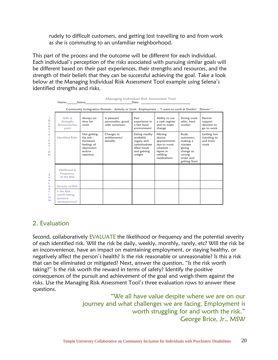rudely to difficult customers, and getting lost travelling to and from work as she is commuting to an unfamiliar neighborhood.

This part of the process and the outcome will be different for each individual. Each individual's perception of the risks associated with pursuing similar goals will be different based on their past experiences, their strengths and resources, and the strength of their beliefs that they can be successful achieving the goal. Take a look below at the Managing Individual Risk Assessment Tool example using Selena's identified strengths and risks.

|                                                                                  | Managing Individual Risk Assessment Tool                   |                                                                                             |                                                                                                                |                                                                                                    |                                                                                                           |                                                                                                         |                                                  |
|----------------------------------------------------------------------------------|------------------------------------------------------------|---------------------------------------------------------------------------------------------|----------------------------------------------------------------------------------------------------------------|----------------------------------------------------------------------------------------------------|-----------------------------------------------------------------------------------------------------------|---------------------------------------------------------------------------------------------------------|--------------------------------------------------|
|                                                                                  |                                                            |                                                                                             | Name: Selena Selena Selena Selena Selena Selena Selena Selena Selena Selena Selena Selena Selena Selena Selena |                                                                                                    |                                                                                                           |                                                                                                         |                                                  |
|                                                                                  |                                                            |                                                                                             | Community Inctegration Domain - Activity or Goal: Employment - "I want to work at Dunkin' Donuts."             |                                                                                                    |                                                                                                           |                                                                                                         |                                                  |
| 1.<br>D<br>E<br>N<br>т<br>F<br>1.<br>C<br>A<br>т<br>1<br>$\circ$<br>$\mathbb{N}$ | Skills &<br>Strengths<br>Resources/Sup<br>ports            | Always on<br>time for<br>work                                                               | A pleasant<br>personality, good<br>with customers                                                              | Past<br>experience in<br>a fast food<br>environment                                                | Ability to use<br>a cash register<br>and to make<br>change                                                | Strong work<br>ethic, hard<br>worker                                                                    | Parents<br>support<br>decision to<br>go to work  |
|                                                                                  | <b>Identified Risks</b>                                    | Not getting<br>the $job -$<br>Increased<br>feelings of<br>depression<br>and/or<br>rejection | Changes in<br>entitlements/<br>benefits                                                                        | Eating readily<br>available<br>sugary and<br>carbohydrate<br>filled foods<br>and gaining<br>weight | Missing<br>doctor<br>appointments<br>due to work<br>$schedule -$<br>lapses in<br>refilling<br>medications | Rude<br>customers.<br>making a<br>mistake<br>giving<br>change or<br>wrong<br>order and<br>getting fired | Getting lost<br>traveling to<br>and from<br>work |
| Е<br>$\vee$                                                                      | Likelihood &<br>Frequency<br>of the Risk                   |                                                                                             |                                                                                                                |                                                                                                    |                                                                                                           |                                                                                                         |                                                  |
| А<br>L<br>υ                                                                      | Severity of Risk                                           |                                                                                             |                                                                                                                |                                                                                                    |                                                                                                           |                                                                                                         |                                                  |
| A<br>T.<br>$\mathbf{I}$<br>$\circ$<br>$\mathbb{N}$                               | Is the Risk<br>worth taking<br>(positive<br>consequences)? |                                                                                             |                                                                                                                |                                                                                                    |                                                                                                           |                                                                                                         |                                                  |

#### 2. Evaluation

Second, collaboratively EVALUATE the likelihood or frequency and the potential severity of each identified risk. Will the risk be daily, weekly, monthly, rarely, etc? Will the risk be an inconvenience, have an impact on maintaining employment, or staying healthy, or negatively affect the person's health? Is the risk reasonable or unreasonable? Is this a risk that can be eliminated or mitigated? Next, answer the question, "Is the risk worth taking?" Is the risk worth the reward in terms of safety? Identify the positive consequences of the pursuit and achievement of the goal and weigh them against the risks. Use the Managing Risk Assessment Tool's three evaluation rows to answer these questions.

> "We all have value despite where we are on our journey and what challenges we are facing. Employment is worth struggling for and worth the risk." George Brice, Jr., MSW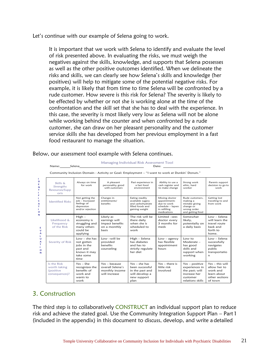Let's continue with our example of Selena going to work.

It is important that we work with Selena to identify and evaluate the level of risk presented above. In evaluating the risks, we must weigh the negatives against the skills, knowledge, and supports that Selena possesses as well as the other positive outcomes identified. When we delineate the risks and skills, we can clearly see how Selena's skills and knowledge (her positives) will help to mitigate some of the potential negative risks. For example, it is likely that from time to time Selena will be confronted by a rude customer. How severe is this risk for Selena? The severity is likely to be effected by whether or not she is working alone at the time of the confrontation and the skill set that she has to deal with the experience. In this case, the severity is most likely very low as Selena will not be alone while working behind the counter and when confronted by a rude customer, she can draw on her pleasant personality and the customer service skills she has developed from her previous employment in a fast food restaurant to manage the situation.

|                                                                                                                     | Name: Selena                                                      |                                                                                               |                                                                                                 | Managing Individual Risk Assessment Tool                                                       | Date:                                                                                             |                                                                                                      |                                                                                           |
|---------------------------------------------------------------------------------------------------------------------|-------------------------------------------------------------------|-----------------------------------------------------------------------------------------------|-------------------------------------------------------------------------------------------------|------------------------------------------------------------------------------------------------|---------------------------------------------------------------------------------------------------|------------------------------------------------------------------------------------------------------|-------------------------------------------------------------------------------------------|
|                                                                                                                     |                                                                   |                                                                                               | Community Inclusion Domain - Activity or Goal: Employment - "I want to work at Dunkin' Donuts." |                                                                                                |                                                                                                   |                                                                                                      |                                                                                           |
| п<br>D<br>E<br>N<br>T.<br>т<br>F<br>$\mathbf{L}$<br>c<br>А<br>T.<br>$\mathbf{L}$<br>O<br>N<br>E<br>$\mathbf v$<br>A | Skills &<br>Strengths<br>Resources/Supp<br>orts                   | Always on time<br>for work                                                                    | A pleasant<br>personality, good<br>with customers                                               | Past experience in<br>a fast food<br>environment                                               | Ability to use a<br>cash register and<br>to make change                                           | Strong work<br>ethic, hard<br>worker                                                                 | Parents support<br>decision to go to<br>work                                              |
|                                                                                                                     | <b>Identified Risks</b>                                           | Not getting the<br>iob - Increased<br>feelings of<br>depression<br>and/or rejection           | Changes in<br>entitlements/<br>benefits                                                         | Eating readily<br>available sugary<br>and carbohydrate<br>filled foods and<br>gaining weight   | Missing doctor<br>appointments<br>due to work<br>schedule - lapses<br>in refilling<br>medications | Rude customers.<br>making a<br>mistake giving<br>change or<br>wrong order<br>and getting fired       | <b>Getting</b> lost<br>traveling to and<br>from work                                      |
|                                                                                                                     | Likelihood &<br>Frequency<br>of the Risk                          | $High -$<br>economy is<br>struggling and<br>many others<br>could be<br>applying               | Likely as<br>earnings will<br>impact benefits<br>on a monthly<br>basis                          | The risk will be<br>there daily<br>when she is<br>scheduled to<br>work                         | Limited -sees<br>doctor every<br>3 months for<br>meds                                             | Somewhat<br>likelv.<br>potentially on<br>a daily basis                                               | $Low - Selena$<br>will learn the<br>travel route<br>back and<br>forth to<br>home.         |
| L<br>υ<br>A<br>T.<br>т.<br>$\circ$<br>N                                                                             | Severity of Risk                                                  | $Low - she$ has<br>not gotten<br>iobs in the<br>past and<br>knows it may<br>take some<br>time | $Low - will be$<br>provided<br>benefits<br>counseling                                           | High - Selena<br>has diabetes<br>and has to<br>strictly regulate<br>her diet                   | $Low - agency$<br>has flexible<br>appointment<br>hours                                            | Low to<br>Moderate -<br>has good<br>skills and<br>support when<br>working                            | $Low - Selena$<br>successfully<br>navigates<br>public<br>transportatio<br>n               |
|                                                                                                                     | Is the Risk<br>worth taking<br><i>(positive</i><br>consequences)? | $Yes - She$<br>recognizes the<br>benefits of<br>work and<br>wants to<br>work                  | $Yes - because$<br>overall Selena's<br>monthly income<br>will increase                          | $Yes - she has$<br>been successful<br>in the past and<br>will develop a<br>new support<br>plan | $Yes - there is$<br>little risk<br>involved                                                       | $Yes - positive$<br>experiences in<br>the past; will<br>increase her<br>customer<br>relations skills | $Yes - this will$<br>allow her to<br>work and<br>learn about<br>other sections<br>of town |

Below, our assessment tool example with Selena continues.

#### 3. Construction

The third step is to collaboratively CONSTRUCT an individual support plan to reduce risk and achieve the stated goal. Use the Community Integration Support Plan – Part 1 (included in the appendix) in this document to discuss, develop, and write a detailed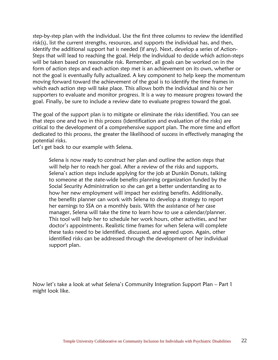step-by-step plan with the individual. Use the first three columns to review the identified risk(s), list the current strengths, resources, and supports the individual has, and then, identify the additional support hat is needed (if any). Next, develop a series of Action-Steps that will lead to reaching the goal. Help the individual to decide which action-steps will be taken based on reasonable risk. Remember, all goals can be worked on in the form of action steps and each action step met is an achievement on its own, whether or not the goal is eventually fully actualized. A key component to help keep the momentum moving forward toward the achievement of the goal is to identify the time frames in which each action step will take place. This allows both the individual and his or her supporters to evaluate and monitor progress. It is a way to measure progress toward the goal. Finally, be sure to include a review date to evaluate progress toward the goal.

The goal of the support plan is to mitigate or eliminate the risks identified. You can see that steps one and two in this process (identification and evaluation of the risks) are critical to the development of a comprehensive support plan. The more time and effort dedicated to this process, the greater the likelihood of success in effectively managing the potential risks.

Let's get back to our example with Selena.

Selena is now ready to construct her plan and outline the action steps that will help her to reach her goal. After a review of the risks and supports, Selena's action steps include applying for the job at Dunkin Donuts, talking to someone at the state-wide benefits planning organization funded by the Social Security Administration so she can get a better understanding as to how her new employment will impact her existing benefits. Additionally, the benefits planner can work with Selena to develop a strategy to report her earnings to SSA on a monthly basis. With the assistance of her case manager, Selena will take the time to learn how to use a calendar/planner. This tool will help her to schedule her work hours, other activities, and her doctor's appointments. Realistic time frames for when Selena will complete these tasks need to be identified, discussed, and agreed upon. Again, other identified risks can be addressed through the development of her individual support plan.

Now let's take a look at what Selena's Community Integration Support Plan – Part 1 might look like.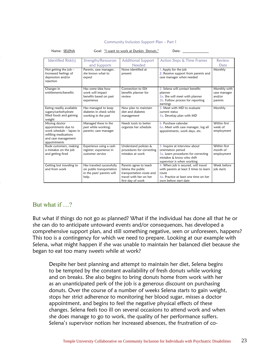#### Community Inclusion Support Plan – Part 1

| INGILIE. JLLLINA                                                                                                                   |                                                                                             | OUAI. I WAIII IU WUIK AI DUIIKIII DUIIUIS.                                                                             | Dale.                                                                                                                                                    |                                                   |
|------------------------------------------------------------------------------------------------------------------------------------|---------------------------------------------------------------------------------------------|------------------------------------------------------------------------------------------------------------------------|----------------------------------------------------------------------------------------------------------------------------------------------------------|---------------------------------------------------|
| Identified Risk(s)                                                                                                                 | Strengths/Resources<br>and Supports                                                         | <b>Additional Support</b><br>Needed                                                                                    | Action Steps & Time Frames                                                                                                                               | Review<br>Date                                    |
| Not getting the job $-$<br>Increased feelings of<br>depression and/or<br>rejection                                                 | Parents, case manager,<br>she knows what to<br>expect                                       | None identified at<br>present                                                                                          | 1. Apply for the job<br>2. Receive support from parents and<br>case manager when needed                                                                  | Monthly                                           |
| Changes in<br>entitlements/benefits                                                                                                | Has some idea how<br>work will impact<br>benefits based on past<br>experience               | Connection to SSA<br>benefits planner for<br>review                                                                    | 2. Selena will contact benefits<br>planner<br>2a. She will meet with planner<br>2b. Follow process for reporting<br>earnings                             | Monthly with<br>case manager<br>and/or<br>parents |
| Eating readily available<br>sugary/carbohydrate<br>filled foods and gaining<br>weight                                              | Has managed to keep<br>diabetes in check while<br>working in the past                       | New plan to maintain<br>diet and diabetes<br>management                                                                | 3. Meet with MD to evaluate<br>current status<br>3a. Develop plan with MD                                                                                | Monthly                                           |
| Missing doctor<br>appointments due to<br>work schedule - lapses in<br>refilling medications<br>and case management<br>appointments | Managed these in the<br>past while working;<br>parents; case manager                        | Needs tools to better<br>organize her schedule                                                                         | 6. Purchase calendar<br>6a. Meet with case manager, log all<br>appointments, work days, etc.                                                             | Within first<br>week of<br>employment             |
| Rude customers, making<br>a mistakes on the job<br>and getting fired                                                               | Experience using a cash<br>register; experience in<br>customer service                      | Understand policies &<br>procedures for correcting<br>mistakes at work                                                 | 5. Inquire at interview about<br>orientation period<br>5a. Learn procedures for correcting<br>mistakes & know who shift<br>supervisor is when working    | Within first<br>month of<br>employment            |
| Getting lost traveling to<br>and from work                                                                                         | Has traveled successfully<br>on public transportation<br>in the past/ parents will<br>help. | Parents agree to teach<br>Selena the public<br>transportation route and<br>travel with her on her<br>first day of work | 4. When job is secured, will travel<br>with parents at least 3 times to learn<br>route<br>4a. Practice at least one time on her<br>own before start date | Week before<br>job starts                         |

#### Name: SELENA Goal: "I want to work at Dunkin Donuts." Date:

#### But what if …?

But what if things do not go as planned? What if the individual has done all that he or she can do to anticipate untoward events and/or consequences, has developed a comprehensive support plan, and still something negative, seen or unforeseen, happens? This too is a contingency for which we need to prepare. Looking at our example with Selena, what might happen if she was unable to maintain her balanced diet because she began to eat too many sweets while at work?

Despite her best planning and attempt to maintain her diet, Selena begins to be tempted by the constant availability of fresh donuts while working and on breaks. She also begins to bring donuts home from work with her as an unanticipated perk of the job is a generous discount on purchasing donuts. Over the course of a number of weeks Selena starts to gain weight, stops her strict adherence to monitoring her blood sugar, misses a doctor appointment, and begins to feel the negative physical effects of these changes. Selena feels too ill on several occasions to attend work and when she does manage to go to work, the quality of her performance suffers. Selena's supervisor notices her increased absences, the frustration of co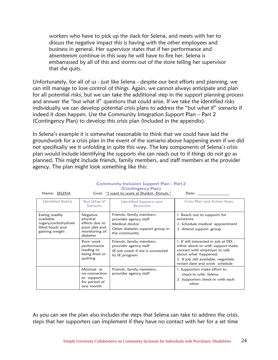workers who have to pick up the slack for Selena, and meets with her to discuss the negative impact this is having with the other employees and business in general. Her supervisor states that if her performance and absenteeism continue in this way he will have to fire her. Selena is embarrassed by all of this and storms out of the store telling her supervisor that she quits.

Unfortunately, for all of us - just like Selena - despite our best efforts and planning, we can still manage to lose control of things. Again, we cannot always anticipate and plan for all potential risks, but we can take the additional step in the support planning process and answer the "but what if" questions that could arise. If we take the identified risks individually we can develop potential crisis plans to address the "but what if" scenario if indeed it does happen. Use the Community Integration Support Plan – Part 2 (Contingency Plan) to develop this crisis plan (included in the appendix).

In Selena's example it is somewhat reasonable to think that we could have laid the groundwork for a crisis plan in the event of the scenario above happening even if we did not specifically see it unfolding in quite this way. The key components of Selena's crisis plan would include identifying the supports she can reach out to if things do not go as planned. This might include friends, family members, and staff members at the provider agency. The plan might look something like this:

| Name: SELENA                                                                             | Goal: "I want to work at Dunkin Donuts."<br>Date:                                    |                                                                                                                         |                                                                                                                                                                                                              |  |  |  |
|------------------------------------------------------------------------------------------|--------------------------------------------------------------------------------------|-------------------------------------------------------------------------------------------------------------------------|--------------------------------------------------------------------------------------------------------------------------------------------------------------------------------------------------------------|--|--|--|
| Identified Risk(s)                                                                       | "But What If"<br>Scenario                                                            | Identified Supports and<br><b>Resources</b>                                                                             | Crisis Plan and Action Steps                                                                                                                                                                                 |  |  |  |
| Eating readily<br>available<br>sugary/carbohydrate<br>filled foods and<br>gaining weight | Negative<br>physical<br>effects due to<br>poor diet and<br>monitoring of<br>diabetes | Friends, family members,<br>provider agency staff<br>Medical doctor<br>Other diabetes support group in<br>the community | 1. Reach out to supports for<br>assistance<br>2. Schedule medical appointment<br>3. Attend support group                                                                                                     |  |  |  |
|                                                                                          | Poor work<br>performance<br>leading to<br>being fired or<br>quitting                 | Friends, family members,<br>provider agency staff<br>SE job coach if she is connected<br>to SE program                  | 1. If still interested in job at DD,<br>either alone or with support make<br>contact with employer to talk<br>about what happened.<br>2. If job still available, negotiate<br>restart date and work schedule |  |  |  |
|                                                                                          | Minimal or<br>no connection<br>to supports<br>for period of<br>one month             | Friends, family members,<br>provider agency staff                                                                       | 1. Supporters make effort to<br>check-in with Selena<br>2. Supporters check-in with each<br>other                                                                                                            |  |  |  |

#### Community Inclusion Support Plan - Part 2 (Contingency Plan)

As you can see the plan also includes the steps that Selena can take to address the crisis, steps that her supporters can implement if they have no contact with her for a set time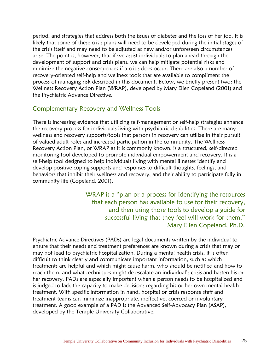period, and strategies that address both the issues of diabetes and the loss of her job. It is likely that some of these crisis plans will need to be developed during the initial stages of the crisis itself and may need to be adjusted as new and/or unforeseen circumstances arise. The point is, however, that if we assist individuals to plan ahead through the development of support and crisis plans, we can help mitigate potential risks and minimize the negative consequences if a crisis does occur. There are also a number of recovery-oriented self-help and wellness tools that are available to compliment the process of managing risk described in this document. Below, we briefly present two: the Wellness Recovery Action Plan (WRAP), developed by Mary Ellen Copeland (2001) and the Psychiatric Advance Directive.

#### Complementary Recovery and Wellness Tools

There is increasing evidence that utilizing self-management or self-help strategies enhance the recovery process for individuals living with psychiatric disabilities. There are many wellness and recovery supports/tools that persons in recovery can utilize in their pursuit of valued adult roles and increased participation in the community. The Wellness Recovery Action Plan, or WRAP as it is commonly known, is a structured, self-directed monitoring tool developed to promote individual empowerment and recovery. It is a self-help tool designed to help individuals living with mental illnesses identify and develop positive coping supports and responses to difficult thoughts, feelings, and behaviors that inhibit their wellness and recovery, and their ability to participate fully in community life (Copeland, 2001).

> WRAP is a "plan or a process for identifying the resources that each person has available to use for their recovery, and then using those tools to develop a guide for successful living that they feel will work for them." Mary Ellen Copeland, Ph.D.

Psychiatric Advance Directives (PADs) are legal documents written by the individual to ensure that their needs and treatment preferences are known during a crisis that may or may not lead to psychiatric hospitalization. During a mental health crisis, it is often difficult to think clearly and communicate important information, such as which treatments are helpful and which might cause harm, who should be notified and how to reach them, and what techniques might de-escalate an individual's crisis and hasten his or her recovery. PADs are especially important when a person needs to be hospitalized and is judged to lack the capacity to make decisions regarding his or her own mental health treatment. With specific information in hand, hospital or crisis response staff and treatment teams can minimize inappropriate, ineffective, coerced or involuntary treatment. A good example of a PAD is the Advanced Self-Advocacy Plan (ASAP), developed by the Temple University Collaborative.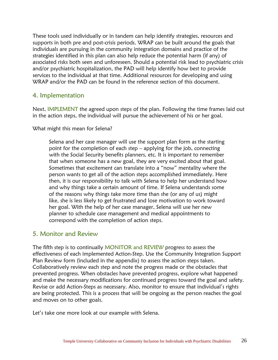These tools used individually or in tandem can help identify strategies, resources and supports in both pre and post-crisis periods. WRAP can be built around the goals that individuals are pursuing in the community integration domains and practice of the strategies identified in this plan can also help reduce the potential harm (if any) of associated risks both seen and unforeseen. Should a potential risk lead to psychiatric crisis and/or psychiatric hospitalization, the PAD will help identify how best to provide services to the individual at that time. Additional resources for developing and using WRAP and/or the PAD can be found in the reference section of this document.

#### 4. Implementation

Next, IMPLEMENT the agreed upon steps of the plan. Following the time frames laid out in the action steps, the individual will pursue the achievement of his or her goal.

What might this mean for Selena?

Selena and her case manager will use the support plan form as the starting point for the completion of each step – applying for the job, connecting with the Social Security benefits planners, etc. It is important to remember that when someone has a new goal, they are very excited about that goal. Sometimes that excitement can translate into a "now" mentality where the person wants to get all of the action steps accomplished immediately. Here then, it is our responsibility to talk with Selena to help her understand how and why things take a certain amount of time. If Selena understands some of the reasons why things take more time than she (or any of us) might like, she is less likely to get frustrated and lose motivation to work toward her goal. With the help of her case manager, Selena will use her new planner to schedule case management and medical appointments to correspond with the completion of action steps.

#### 5. Monitor and Review

The fifth step is to continually MONITOR and REVIEW progress to assess the effectiveness of each implemented Action-Step. Use the Community Integration Support Plan Review form (included in the appendix) to assess the action steps taken. Collaboratively review each step and note the progress made or the obstacles that prevented progress. When obstacles have prevented progress, explore what happened and make the necessary modifications for continued progress toward the goal and safety. Revise or add Action-Steps as necessary. Also, monitor to ensure that individual's rights are being protected. This is a process that will be ongoing as the person reaches the goal and moves on to other goals.

Let's take one more look at our example with Selena.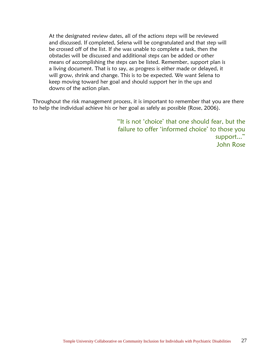At the designated review dates, all of the actions steps will be reviewed and discussed. If completed, Selena will be congratulated and that step will be crossed off of the list. If she was unable to complete a task, then the obstacles will be discussed and additional steps can be added or other means of accomplishing the steps can be listed. Remember, support plan is a living document. That is to say, as progress is either made or delayed, it will grow, shrink and change. This is to be expected. We want Selena to keep moving toward her goal and should support her in the ups and downs of the action plan.

Throughout the risk management process, it is important to remember that you are there to help the individual achieve his or her goal as safely as possible (Rose, 2006).

> "It is not 'choice' that one should fear, but the failure to offer 'informed choice' to those you support..." John Rose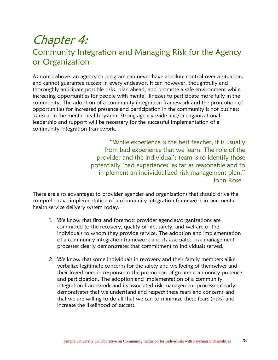## Chapter 4:

#### Community Integration and Managing Risk for the Agency or Organization

As noted above, an agency or program can never have absolute control over a situation, and cannot guarantee success in every endeavor. It can however, thoughtfully and thoroughly anticipate possible risks, plan ahead, and promote a safe environment while increasing opportunities for people with mental illnesses to participate more fully in the community. The adoption of a community integration framework and the promotion of opportunities for increased presence and participation in the community is not business as usual in the mental health system. Strong agency-wide and/or organizational leadership and support will be necessary for the successful implementation of a community integration framework.

> "While experience is the best teacher, it is usually from bad experience that we learn. The role of the provider and the individual's team is to identify those potentially 'bad experiences' as far as reasonable and to implement an individualized risk management plan." John Rose

There are also advantages to provider agencies and organizations that should drive the comprehensive implementation of a community integration framework in our mental health service delivery system today.

- 1. We know that first and foremost provider agencies/organizations are committed to the recovery, quality of life, safety, and welfare of the individuals to whom they provide service. The adoption and implementation of a community integration framework and its associated risk management processes clearly demonstrates that commitment to individuals served.
- 2. We know that some individuals in recovery and their family members alike verbalize legitimate concerns for the safety and wellbeing of themselves and their loved ones in response to the promotion of greater community presence and participation. The adoption and implementation of a community integration framework and its associated risk management processes clearly demonstrates that we understand and respect these fears and concerns and that we are willing to do all that we can to minimize these fears (risks) and increase the likelihood of success.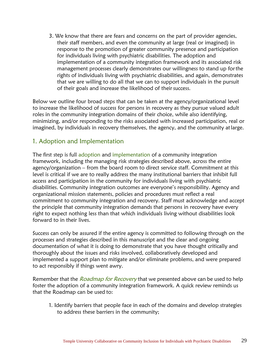3. We know that there are fears and concerns on the part of provider agencies, their staff members, and even the community at large (real or imagined) in response to the promotion of greater community presence and participation for individuals living with psychiatric disabilities. The adoption and implementation of a community integration framework and its associated risk management processes clearly demonstrates our willingness to stand up forthe rights of individuals living with psychiatric disabilities, and again, demonstrates that we are willing to do all that we can to support individuals in the pursuit of their goals and increase the likelihood of their success.

Below we outline four broad steps that can be taken at the agency/organizational level to increase the likelihood of success for persons in recovery as they pursue valued adult roles in the community integration domains of their choice, while also identifying, minimizing, and/or responding to the risks associated with increased participation, real or imagined, by individuals in recovery themselves, the agency, and the community atlarge.

#### 1. Adoption and Implementation

The first step is full adoption and implementation of a community integration framework, including the managing risk strategies described above, across the entire agency/organization – from the board room to direct service staff. Commitment at this level is critical if we are to really address the many institutional barriers that inhibit full access and participation in the community for individuals living with psychiatric disabilities. Community integration outcomes are everyone's responsibility. Agency and organizational mission statements, policies and procedures must reflect a real commitment to community integration and recovery. Staff must acknowledge and accept the principle that community integration demands that persons in recovery have every right to expect nothing less than that which individuals living without disabilities look forward to in their lives.

Success can only be assured if the entire agency is committed to following through on the processes and strategies described in this manuscript and the clear and ongoing documentation of what it is doing to demonstrate that you have thought critically and thoroughly about the issues and risks involved, collaboratively developed and implemented a support plan to mitigate and/or eliminate problems, and were prepared to act responsibly if things went awry.

Remember that the *Roadmap for Recovery* that we presented above can be used to help foster the adoption of a community integration framework. A quick review reminds us that the Roadmap can be used to:

1. Identify barriers that people face in each of the domains and develop strategies to address these barriers in the community;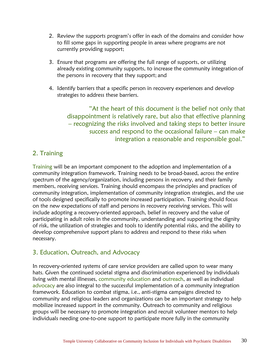- 2. Review the supports program's offer in each of the domains and consider how to fill some gaps in supporting people in areas where programs are not currently providing support;
- 3. Ensure that programs are offering the full range of supports, or utilizing already existing community supports, to increase the community integrationof the persons in recovery that they support; and
- 4. Identify barriers that a specific person in recovery experiences and develop strategies to address these barriers.

"At the heart of this document is the belief not only that disappointment is relatively rare, but also that effective planning – recognizing the risks involved and taking steps to better insure success and respond to the occasional failure – can make integration a reasonable and responsible goal."

#### 2. Training

Training will be an important component to the adoption and implementation of a community integration framework. Training needs to be broad-based, across the entire spectrum of the agency/organization, including persons in recovery, and their family members, receiving services. Training should encompass the principles and practices of community integration, implementation of community integration strategies, and the use of tools designed specifically to promote increased participation. Training should focus on the new expectations of staff and persons in recovery receiving services. This will include adopting a recovery-oriented approach, belief in recovery and the value of participating in adult roles in the community, understanding and supporting the dignity of risk, the utilization of strategies and tools to identify potential risks, and the ability to develop comprehensive support plans to address and respond to these risks when necessary.

#### 3. Education, Outreach, and Advocacy

In recovery-oriented systems of care service providers are called upon to wear many hats. Given the continued societal stigma and discrimination experienced by individuals living with mental illnesses, community education and outreach, as well as individual advocacy are also integral to the successful implementation of a community integration framework. Education to combat stigma, i.e., anti-stigma campaigns directed to community and religious leaders and organizations can be an important strategy to help mobilize increased support in the community. Outreach to community and religious groups will be necessary to promote integration and recruit volunteer mentors to help individuals needing one-to-one support to participate more fully in the community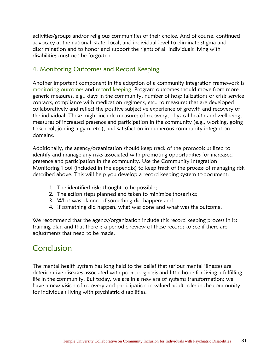activities/groups and/or religious communities of their choice. And of course, continued advocacy at the national, state, local, and individual level to eliminate stigma and discrimination and to honor and support the rights of all individuals living with disabilities must not be forgotten.

#### 4. Monitoring Outcomes and Record Keeping

Another important component in the adoption of a community integration framework is monitoring outcomes and record keeping. Program outcomes should move from more generic measures, e.g., days in the community, number of hospitalizations or crisis service contacts, compliance with medication regimens, etc., to measures that are developed collaboratively and reflect the positive subjective experience of growth and recovery of the individual. These might include measures of recovery, physical health and wellbeing, measures of increased presence and participation in the community (e.g., working, going to school, joining a gym, etc.), and satisfaction in numerous community integration domains.

Additionally, the agency/organization should keep track of the protocols utilized to identify and manage any risks associated with promoting opportunities for increased presence and participation in the community. Use the Community Integration Monitoring Tool (included in the appendix) to keep track of the process of managing risk described above. This will help you develop a record keeping system to document:

- 1. The identified risks thought to be possible;
- 2. The action steps planned and taken to minimize those risks;
- 3. What was planned if something did happen; and
- 4. If something did happen, what was done and what was the outcome.

We recommend that the agency/organization include this record keeping process in its training plan and that there is a periodic review of these records to see if there are adjustments that need to be made.

#### Conclusion

The mental health system has long held to the belief that serious mental illnesses are deteriorative diseases associated with poor prognosis and little hope for living a fulfilling life in the community. But today, we are in a new era of systems transformation; we have a new vision of recovery and participation in valued adult roles in the community for individuals living with psychiatric disabilities.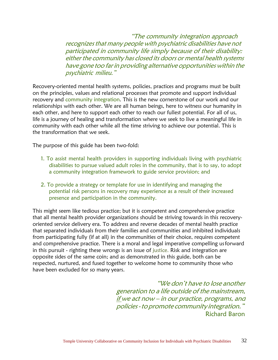"The community integration approach recognizes that many people with psychiatric disabilities have not participated in community life simply because of their disability: either the community has closed its doors or mental health systems have gone too farin providing alternative opportunities within the psychiatric milieu."

Recovery-oriented mental health systems, policies, practices and programs must be built on the principles, values and relational processes that promote and support individual recovery and community integration. This is the new cornerstone of our work and our relationships with each other. We are all human beings, here to witness our humanity in each other, and here to support each other to reach our fullest potential. For all of us, life is a journey of healing and transformation where we seek to live a meaningful life in community with each other while all the time striving to achieve our potential. This is the transformation that we seek.

The purpose of this guide has been two-fold:

- 1. To assist mental health providers in supporting individuals living with psychiatric disabilities to pursue valued adult roles in the community, that is to say, to adopt a community integration framework to guide service provision; and
- 2. To provide a strategy or template for use in identifying and managing the potential risk persons in recovery may experience as a result of their increased presence and participation in the community.

This might seem like tedious practice; but it is competent and comprehensive practice that all mental health provider organizations should be striving towards in this recoveryoriented service delivery era. To address and reverse decades of mental health practice that separated individuals from their families and communities and inhibited individuals from participating fully (if at all) in the communities of their choice, requires competent and comprehensive practice. There is a moral and legal imperative compelling usforward in this pursuit - righting these wrongs is an issue of justice. Risk and integration are opposite sides of the same coin; and as demonstrated in this guide, both can be respected, nurtured, and fused together to welcome home to community those who have been excluded for so many years.

> "We don't have to lose another generation to <sup>a</sup> life outside of the mainstream, if we act now – in our practice, programs, and policies-topromote community integration." Richard Baron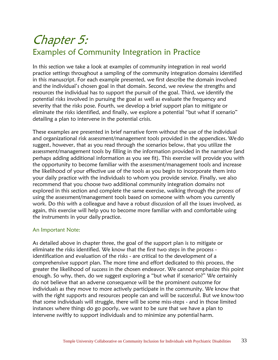## Chapter 5: Examples of Community Integration in Practice

In this section we take a look at examples of community integration in real world practice settings throughout a sampling of the community integration domains identified in this manuscript. For each example presented, we first describe the domain involved and the individual's chosen goal in that domain. Second, we review the strengths and resources the individual has to support the pursuit of the goal. Third, we identify the potential risks involved in pursuing the goal as well as evaluate the frequency and severity that the risks pose. Fourth, we develop a brief support plan to mitigate or eliminate the risks identified, and finally, we explore a potential "but what if scenario" detailing a plan to intervene in the potential crisis.

These examples are presented in brief narrative form without the use of the individual and organizational risk assessment/management tools provided in the appendices. Wedo suggest, however, that as you read through the scenarios below, that you utilize the assessment/management tools by filling in the information provided in the narrative (and perhaps adding additional information as you see fit). This exercise will provide you with the opportunity to become familiar with the assessment/management tools and increase the likelihood of your effective use of the tools as you begin to incorporate them into your daily practice with the individuals to whom you provide service. Finally, we also recommend that you choose two additional community integration domains not explored in this section and complete the same exercise, walking through the process of using the assessment/management tools based on someone with whom you currently work. Do this with a colleague and have a robust discussion of all the issues involved, as again, this exercise will help you to become more familiar with and comfortable using the instruments in your daily practice.

#### An Important Note:

As detailed above in chapter three, the goal of the support plan is to mitigate or eliminate the risks identified. We know that the first two steps in the process identification and evaluation of the risks - are critical to the development of a comprehensive support plan. The more time and effort dedicated to this process, the greater the likelihood of success in the chosen endeavor. We cannot emphasize this point enough. So why, then, do we suggest exploring a "but what if scenario?" We certainly do not believe that an adverse consequence will be the prominent outcome for individuals as they move to more actively participate in the community. We know that with the right supports and resources people can and will be successful. But we know too that some individuals will struggle, there will be some miss-steps - and in those limited instances where things do go poorly, we want to be sure that we have a plan to intervene swiftly to support individuals and to minimize any potential harm.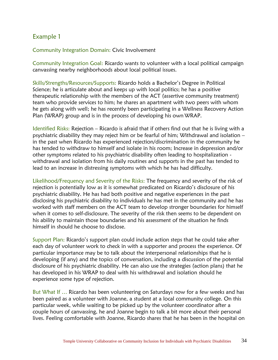#### Example 1

Community Integration Domain: Civic Involvement

Community Integration Goal: Ricardo wants to volunteer with a local political campaign canvassing nearby neighborhoods about local political issues.

Skills/Strengths/Resources/Supports: Ricardo holds a Bachelor's Degree in Political Science; he is articulate about and keeps up with local politics; he has a positive therapeutic relationship with the members of the ACT (assertive community treatment) team who provide services to him; he shares an apartment with two peers with whom he gets along with well; he has recently been participating in a Wellness Recovery Action Plan (WRAP) group and is in the process of developing his own WRAP.

Identified Risks: Rejection – Ricardo is afraid that if others find out that he is living with a psychiatric disability they may reject him or be fearful of him; Withdrawal and isolation – in the past when Ricardo has experienced rejection/discrimination in the community he has tended to withdraw to himself and isolate in his room; Increase in depression and/or other symptoms related to his psychiatric disability often leading to hospitalization withdrawal and isolation from his daily routines and supports in the past has tended to lead to an increase in distressing symptoms with which he has had difficulty.

Likelihood/Frequency and Severity of the Risks: The frequency and severity of the risk of rejection is potentially low as it is somewhat predicated on Ricardo's disclosure of his psychiatric disability. He has had both positive and negative experiences in the past disclosing his psychiatric disability to individuals he has met in the community and he has worked with staff members on the ACT team to develop stronger boundaries for himself when it comes to self-disclosure. The severity of the risk then seems to be dependent on his ability to maintain those boundaries and his assessment of the situation he finds himself in should he choose to disclose.

Support Plan: Ricardo's support plan could include action steps that he could take after each day of volunteer work to check in with a supporter and process the experience. Of particular importance may be to talk about the interpersonal relationships that he is developing (if any) and the topics of conversation, including a discussion of the potential disclosure of his psychiatric disability. He can also use the strategies (action plans) that he has developed in his WRAP to deal with his withdrawal and isolation should he experience some type of rejection.

But What If … Ricardo has been volunteering on Saturdays now for a few weeks and has been paired as a volunteer with Joanne, a student at a local community college. On this particular week, while waiting to be picked up by the volunteer coordinator after a couple hours of canvassing, he and Joanne begin to talk a bit more about their personal lives. Feeling comfortable with Joanne, Ricardo shares that he has been in the hospital on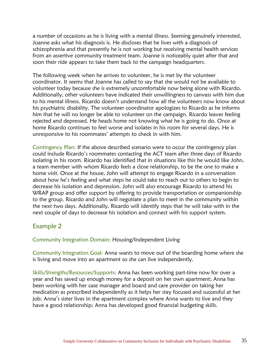a number of occasions as he is living with a mental illness. Seeming genuinely interested, Joanne asks what his diagnosis is. He discloses that he lives with a diagnosis of schizophrenia and that presently he is not working but receiving mental health services from an assertive community treatment team. Joanne is noticeably quiet after that and soon their ride appears to take them back to the campaign headquarters.

The following week when he arrives to volunteer, he is met by the volunteer coordinator. It seems that Joanne has called to say that she would not be available to volunteer today because she is extremely uncomfortable now being alone with Ricardo. Additionally, other volunteers have indicated their unwillingness to canvass with him due to his mental illness. Ricardo doesn't understand how all the volunteers now know about his psychiatric disability. The volunteer coordinator apologizes to Ricardo as he informs him that he will no longer be able to volunteer on the campaign. Ricardo leaves feeling rejected and depressed. He heads home not knowing what he is going to do. Once at home Ricardo continues to feel worse and isolates in his room for several days. He is unresponsive to his roommates' attempts to check in with him.

Contingency Plan: If the above described scenario were to occur the contingency plan could include Ricardo's roommates contacting the ACT team after three days of Ricardo isolating in his room. Ricardo has identified that in situations like this he would like John, a team member with whom Ricardo feels a close relationship, to be the one to make a home visit. Once at the house, John will attempt to engage Ricardo in a conversation about how he's feeling and what steps he could take to reach out to others to begin to decrease his isolation and depression. John will also encourage Ricardo to attend his WRAP group and offer support by offering to provide transportation or companionship to the group. Ricardo and John will negotiate a plan to meet in the community within the next two days. Additionally, Ricardo will identify steps that he will take with in the next couple of days to decrease his isolation and connect with his support system.

#### Example 2

Community Integration Domain: Housing/Independent Living

Community Integration Goal: Anna wants to move out of the boarding home where she is living and move into an apartment so she can live independently.

Skills/Strengths/Resources/Supports: Anna has been working part-time now for over a year and has saved up enough money for a deposit on her own apartment; Anna has been working with her case manager and board and care provider on taking her medication as prescribed independently as it helps her stay focused and successful at her job; Anna's sister lives in the apartment complex where Anna wants to live and they have a good relationship; Anna has developed good financial budgeting skills.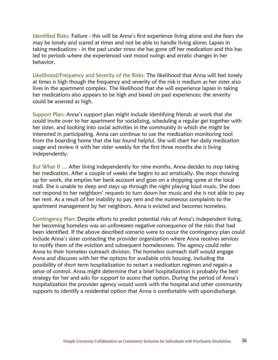Identified Risks: Failure - this will be Anna's first experience living alone and she fears she may be lonely and scared at times and not be able to handle living alone; Lapses in taking medications - in the past under stress she has gone off her medication and this has led to periods where she experienced vast mood swings and erratic changes in her behavior.

Likelihood/Frequency and Severity of the Risks: The likelihood that Anna will feel lonely at times is high though the frequency and severity of the risk is medium as her sister also lives in the apartment complex. The likelihood that she will experience lapses in taking her medications also appears to be high and based on past experiences; the severity could be assessed as high.

Support Plan: Anna's support plan might include identifying friends at work that she could invite over to her apartment for socializing, scheduling a regular get together with her sister, and looking into social activities in the community in which she might be interested in participating. Anna can continue to use the medication monitoring tool from the boarding home that she has found helpful. She will chart her daily medication usage and review it with her sister weekly for the first three months she is living independently.

But What If … After living independently for nine months, Anna decides to stop taking her medication. After a couple of weeks she begins to act erratically. She stops showing up for work, she empties her bank account and goes on a shopping spree at the local mall. She is unable to sleep and stays up through the night playing loud music. She does not respond to her neighbors' requests to turn down her music and she is not able to pay her rent. As a result of her inability to pay rent and the numerous complaints to the apartment management by her neighbors, Anna is evicted and becomes homeless.

Contingency Plan: Despite efforts to predict potential risks of Anna's independent living, her becoming homeless was an unforeseen negative consequence of the risks that had been identified. If the above described scenario were to occur the contingency plan could include Anna's sister contacting the provider organization where Anna receives services to notify them of the eviction and subsequent homelessness. The agency could refer Anna to their homeless outreach division. The homeless outreach staff would engage Anna and discusses with her the options for available crisis housing, including the possibility of short term hospitalization to restart a medication regimen and regain a sense of control. Anna might determine that a brief hospitalization is probably the best strategy for her and asks for support to access that option. During the period of Anna's hospitalization the provider agency would work with the hospital and other community supports to identify a residential option that Anna is comfortable with upondischarge.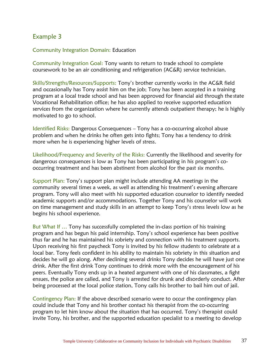#### Example 3

Community Integration Domain: Education

Community Integration Goal: Tony wants to return to trade school to complete coursework to be an air conditioning and refrigeration (AC&R) service technician.

Skills/Strengths/Resources/Supports: Tony's brother currently works in the AC&R field and occasionally has Tony assist him on the job; Tony has been accepted in a training program at a local trade school and has been approved for financial aid through the state Vocational Rehabilitation office; he has also applied to receive supported education services from the organization where he currently attends outpatient therapy; he is highly motivated to go to school.

Identified Risks: Dangerous Consequences – Tony has a co-occurring alcohol abuse problem and when he drinks he often gets into fights; Tony has a tendency to drink more when he is experiencing higher levels of stress.

Likelihood/Frequency and Severity of the Risks: Currently the likelihood and severity for dangerous consequences is low as Tony has been participating in his program's cooccurring treatment and has been abstinent from alcohol for the past six months.

Support Plan: Tony's support plan might include attending AA meetings in the community several times a week, as well as attending his treatment's evening aftercare program. Tony will also meet with his supported education counselor to identify needed academic supports and/or accommodations. Together Tony and his counselor will work on time management and study skills in an attempt to keep Tony's stress levels low as he begins his school experience.

But What If … Tony has successfully completed the in-class portion of his training program and has begun his paid internship. Tony's school experience has been positive thus far and he has maintained his sobriety and connection with his treatment supports. Upon receiving his first paycheck Tony is invited by his fellow students to celebrate at a local bar. Tony feels confident in his ability to maintain his sobriety in this situation and decides he will go along. After declining several drinks Tony decides he will have just one drink. After the first drink Tony continues to drink more with the encouragement of his peers. Eventually Tony ends up in a heated argument with one of his classmates, a fight ensues, the police are called, and Tony is arrested for drunk and disorderly conduct. After being processed at the local police station, Tony calls his brother to bail him out of jail.

Contingency Plan: If the above described scenario were to occur the contingency plan could include that Tony and his brother contact his therapist from the co-occurring program to let him know about the situation that has occurred. Tony's therapist could invite Tony, his brother, and the supported education specialist to a meeting to develop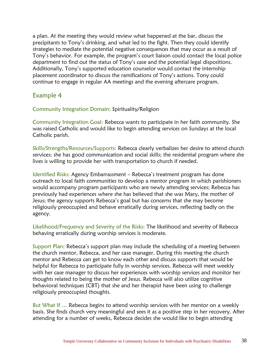a plan. At the meeting they would review what happened at the bar, discuss the precipitants to Tony's drinking, and what led to the fight. Then they could identify strategies to mediate the potential negative consequences that may occur as a result of Tony's behavior. For example, the program's court liaison could contact the local police department to find out the status of Tony's case and the potential legal dispositions. Additionally, Tony's supported education counselor would contact the internship placement coordinator to discuss the ramifications of Tony's actions. Tony could continue to engage in regular AA meetings and the evening aftercare program.

#### Example 4

Community Integration Domain: Spirituality/Religion

Community Integration Goal: Rebecca wants to participate in her faith community. She was raised Catholic and would like to begin attending services on Sundays at the local Catholic parish.

Skills/Strengths/Resources/Supports: Rebecca clearly verbalizes her desire to attend church services; she has good communication and social skills; the residential program where she lives is willing to provide her with transportation to church if needed.

Identified Risks: Agency Embarrassment – Rebecca's treatment program has done outreach to local faith communities to develop a mentor program in which parishioners would accompany program participants who are newly attending services; Rebecca has previously had experiences where she has believed that she was Mary, the mother of Jesus; the agency supports Rebecca's goal but has concerns that she may become religiously preoccupied and behave erratically during services, reflecting badly on the agency.

Likelihood/Frequency and Severity of the Risks: The likelihood and severity of Rebecca behaving erratically during worship services is moderate.

Support Plan: Rebecca's support plan may include the scheduling of a meeting between the church mentor, Rebecca, and her case manager. During this meeting the church mentor and Rebecca can get to know each other and discuss supports that would be helpful for Rebecca to participate fully in worship services. Rebecca will meet weekly with her case manager to discuss her experiences with worship services and monitor her thoughts related to being the mother of Jesus. Rebecca will also utilize cognitive behavioral techniques (CBT) that she and her therapist have been using to challenge religiously preoccupied thoughts.

But What If … Rebecca begins to attend worship services with her mentor on a weekly basis. She finds church very meaningful and sees it as a positive step in her recovery. After attending for a number of weeks, Rebecca decides she would like to begin attending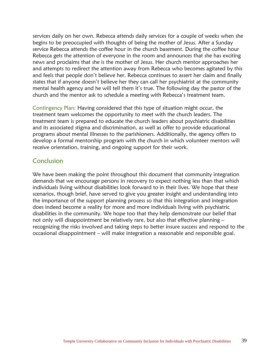services daily on her own. Rebecca attends daily services for a couple of weeks when she begins to be preoccupied with thoughts of being the mother of Jesus. After a Sunday service Rebecca attends the coffee hour in the church basement. During the coffee hour Rebecca gets the attention of everyone in the room and announces that she has exciting news and proclaims that she is the mother of Jesus. Her church mentor approaches her and attempts to redirect the attention away from Rebecca who becomes agitated by this and feels that people don't believe her. Rebecca continues to assert her claim and finally states that if anyone doesn't believe her they can call her psychiatrist at the community mental health agency and he will tell them it's true. The following day the pastor of the church and the mentor ask to schedule a meeting with Rebecca's treatment team.

Contingency Plan: Having considered that this type of situation might occur, the treatment team welcomes the opportunity to meet with the church leaders. The treatment team is prepared to educate the church leaders about psychiatric disabilities and its associated stigma and discrimination, as well as offer to provide educational programs about mental illnesses to the parishioners. Additionally, the agency offers to develop a formal mentorship program with the church in which volunteer mentors will receive orientation, training, and ongoing support for their work.

#### Conclusion

We have been making the point throughout this document that community integration demands that we encourage persons in recovery to expect nothing less than that which individuals living without disabilities look forward to in their lives. We hope that these scenarios, though brief, have served to give you greater insight and understanding into the importance of the support planning process so that this integration and integration does indeed become a reality for more and more individuals living with psychiatric disabilities in the community. We hope too that they help demonstrate our belief that not only will disappointment be relatively rare, but also that effective planning – recognizing the risks involved and taking steps to better insure success and respond to the occasional disappointment – will make integration a reasonable and responsible goal.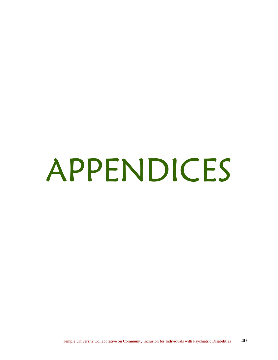# APPENDICES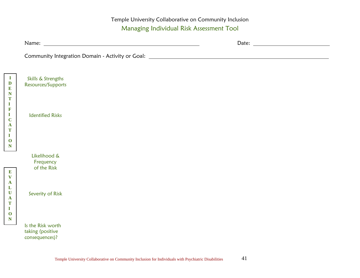Temple University Collaborative on Community Inclusion Managing Individual Risk Assessment Tool

| Skills & Strengths<br>Resources/Supports                |  |
|---------------------------------------------------------|--|
|                                                         |  |
| <b>Identified Risks</b>                                 |  |
|                                                         |  |
|                                                         |  |
| Likelihood &                                            |  |
| Frequency<br>of the Risk                                |  |
|                                                         |  |
| Severity of Risk                                        |  |
|                                                         |  |
|                                                         |  |
| Is the Risk worth<br>taking (positive<br>consequences)? |  |
|                                                         |  |

**E V A L U A T I O N**

**I D E N T I F I C A T I O N**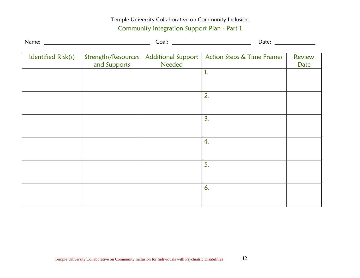#### Temple University Collaborative on Community Inclusion Community Integration Support Plan - Part 1

|                    |                                     |                                     | Date: $\frac{1}{\sqrt{1-\frac{1}{2}}\sqrt{1-\frac{1}{2}}\left(1-\frac{1}{2}\right)}$ |                |
|--------------------|-------------------------------------|-------------------------------------|--------------------------------------------------------------------------------------|----------------|
| Identified Risk(s) | Strengths/Resources<br>and Supports | <b>Additional Support</b><br>Needed | <b>Action Steps &amp; Time Frames</b>                                                | Review<br>Date |
|                    |                                     |                                     | 1.                                                                                   |                |
|                    |                                     |                                     |                                                                                      |                |
|                    |                                     |                                     | 2.                                                                                   |                |
|                    |                                     |                                     |                                                                                      |                |
|                    |                                     |                                     | 3.                                                                                   |                |
|                    |                                     |                                     |                                                                                      |                |
|                    |                                     |                                     | 4.                                                                                   |                |
|                    |                                     |                                     |                                                                                      |                |
|                    |                                     |                                     | 5.                                                                                   |                |
|                    |                                     |                                     |                                                                                      |                |
|                    |                                     |                                     | 6.                                                                                   |                |
|                    |                                     |                                     |                                                                                      |                |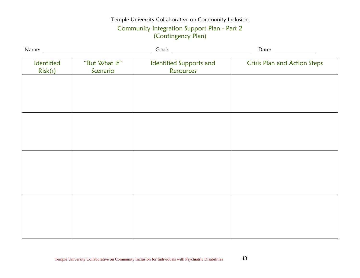#### Temple University Collaborative on Community Inclusion

#### Community Integration Support Plan - Part 2 (Contingency Plan)

| Identified<br>Risk(s) | "But What If"<br>Scenario | Identified Supports and<br>Resources | <b>Crisis Plan and Action Steps</b> |  |
|-----------------------|---------------------------|--------------------------------------|-------------------------------------|--|
|                       |                           |                                      |                                     |  |
|                       |                           |                                      |                                     |  |
|                       |                           |                                      |                                     |  |
|                       |                           |                                      |                                     |  |
|                       |                           |                                      |                                     |  |
|                       |                           |                                      |                                     |  |
|                       |                           |                                      |                                     |  |
|                       |                           |                                      |                                     |  |
|                       |                           |                                      |                                     |  |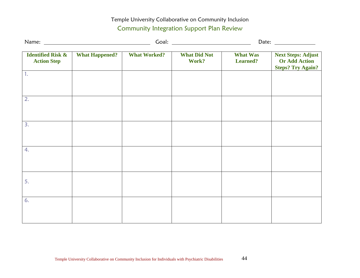#### Temple University Collaborative on Community Inclusion Community Integration Support Plan Review

|                                                    |                       |                     |                              |                                    | Date: $\frac{1}{\sqrt{1-\frac{1}{2}}\sqrt{1-\frac{1}{2}}\sqrt{1-\frac{1}{2}}\sqrt{1-\frac{1}{2}}\sqrt{1-\frac{1}{2}}\sqrt{1-\frac{1}{2}}\sqrt{1-\frac{1}{2}}\sqrt{1-\frac{1}{2}}\sqrt{1-\frac{1}{2}}\sqrt{1-\frac{1}{2}}\sqrt{1-\frac{1}{2}}\sqrt{1-\frac{1}{2}}\sqrt{1-\frac{1}{2}}\sqrt{1-\frac{1}{2}}\sqrt{1-\frac{1}{2}}\sqrt{1-\frac{1}{2}}\sqrt{1-\frac{1}{2}}\sqrt{1-\frac{1}{2}}\sqrt{1-\frac{1}{2}}$ |
|----------------------------------------------------|-----------------------|---------------------|------------------------------|------------------------------------|---------------------------------------------------------------------------------------------------------------------------------------------------------------------------------------------------------------------------------------------------------------------------------------------------------------------------------------------------------------------------------------------------------------|
| <b>Identified Risk &amp;</b><br><b>Action Step</b> | <b>What Happened?</b> | <b>What Worked?</b> | <b>What Did Not</b><br>Work? | <b>What Was</b><br><b>Learned?</b> | <b>Next Steps: Adjust</b><br><b>Or Add Action</b><br><b>Steps? Try Again?</b>                                                                                                                                                                                                                                                                                                                                 |
| $\mathbf{1}$ .                                     |                       |                     |                              |                                    |                                                                                                                                                                                                                                                                                                                                                                                                               |
| 2.                                                 |                       |                     |                              |                                    |                                                                                                                                                                                                                                                                                                                                                                                                               |
| 3.                                                 |                       |                     |                              |                                    |                                                                                                                                                                                                                                                                                                                                                                                                               |
| 4.                                                 |                       |                     |                              |                                    |                                                                                                                                                                                                                                                                                                                                                                                                               |
| 5.                                                 |                       |                     |                              |                                    |                                                                                                                                                                                                                                                                                                                                                                                                               |
| 6.                                                 |                       |                     |                              |                                    |                                                                                                                                                                                                                                                                                                                                                                                                               |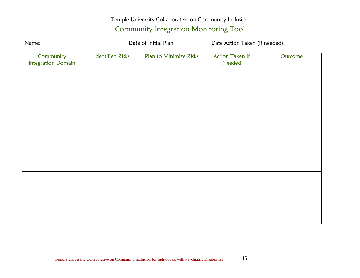#### Temple University Collaborative on Community Inclusion

#### Community Integration Monitoring Tool

| Name: | Date of Initial Plan: | Date Action Taken (if needed): |
|-------|-----------------------|--------------------------------|
|       |                       |                                |

| Community                 | <b>Identified Risks</b> | Plan to Minimize Risks | <b>Action Taken If</b> | Outcome |
|---------------------------|-------------------------|------------------------|------------------------|---------|
| <b>Integration Domain</b> |                         |                        | Needed                 |         |
|                           |                         |                        |                        |         |
|                           |                         |                        |                        |         |
|                           |                         |                        |                        |         |
|                           |                         |                        |                        |         |
|                           |                         |                        |                        |         |
|                           |                         |                        |                        |         |
|                           |                         |                        |                        |         |
|                           |                         |                        |                        |         |
|                           |                         |                        |                        |         |
|                           |                         |                        |                        |         |
|                           |                         |                        |                        |         |
|                           |                         |                        |                        |         |
|                           |                         |                        |                        |         |
|                           |                         |                        |                        |         |
|                           |                         |                        |                        |         |
|                           |                         |                        |                        |         |
|                           |                         |                        |                        |         |
|                           |                         |                        |                        |         |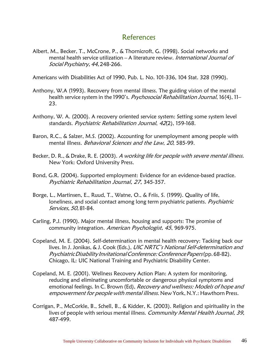#### References

Albert, M., Becker, T., McCrone, P., & Thornicroft, G. (1998). Social networks and mental health service utilization - A literature review. International Journal of Social Psychiatry, 44, 248-266.

Americans with Disabilities Act of 1990, Pub. L. No. 101-336, 104 Stat. 328 (1990).

- Anthony, W.A (1993). Recovery from mental illness. The guiding vision of the mental health service system in the 1990's. Psychosocial Rehabilitation Journal, 16(4), 11-23.
- Anthony, W. A. (2000). A recovery oriented service system: Setting some system level standards. Psychiatric Rehabilitation Journal, 42(2), 159-168.
- Baron, R.C., & Salzer, M.S. (2002). Accounting for unemployment among people with mental illness. Behavioral Sciences and the Law, 20, 585-99.
- Becker, D. R., & Drake, R. E. (2003). A working life for people with severe mental illness. New York: Oxford University Press.
- Bond, G.R. (2004). Supported employment: Evidence for an evidence-based practice. Psychiatric Rehabilitation Journal, 27, 345-357.
- Borge, L., Martinsen, E., Ruud, T., Watne, O., & Friis, S. (1999). Quality of life, loneliness, and social contact among long term psychiatric patients. Psychiatric Services, 50, 81-84.
- Carling, P.J. (1990). Major mental illness, housing and supports: The promise of community integration. American Psychologist, 45, 969-975.
- Copeland, M. E. (2004). Self-determination in mental health recovery: Tacking back our lives. In J. Jonikas, & J. Cook (Eds.), *UIC NRTC's National Self-determination and* Psychiatric Disability Invitational Conference: Conference Papers(pp. 68-82). Chicago, IL: UIC National Training and Psychiatric Disability Center.
- Copeland, M. E. (2001). Wellness Recovery Action Plan: A system for monitoring, reducing and eliminating uncomfortable or dangerous physical symptoms and emotional feelings. In C. Brown (Ed), Recovery and wellness: Models of hope and empowerment for people with mental illness. New York, N.Y.: Hawthorn Press.
- Corrigan, P., McCorkle, B., Schell, B., & Kidder, K. (2003). Religion and spirituality in the lives of people with serious mental illness. Community Mental Health Journal, 39, 487-499.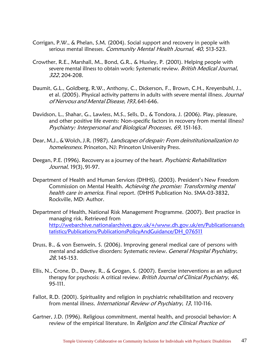- Corrigan, P.W., & Phelan, S.M. (2004). Social support and recovery in people with serious mental illnesses. Community Mental Health Journal, 40, 513-523.
- Crowther, R.E., Marshall, M., Bond, G.R., & Huxley, P. (2001). Helping people with severe mental illness to obtain work: Systematic review. British Medical Journal, 322, 204-208.
- Daumit, G.L., Goldberg, R.W., Anthony, C., Dickerson, F., Brown, C.H., Kreyenbuhl, J., et al. (2005). Physical activity patterns in adults with severe mental illness. Journal of Nervous and Mental Disease,193, 641-646.
- Davidson, L., Shahar, G., Lawless, M.S., Sells, D., & Tondora, J. (2006). Play, pleasure, and other positive life events: Non-specific factors in recovery from mental illness? Psychiatry: Interpersonal and Biological Processes, 69, 151-163.
- Dear, M.J., & Wolch, J.R. (1987). Landscapes of despair: From deinstitutionalization to homelessness. Princeton, NJ: Princeton University Press.
- Deegan, P.E. (1996). Recovery as a journey of the heart. *Psychiatric Rehabilitation* Journal, 19(3), 91-97.
- Department of Health and Human Services (DHHS). (2003). President's New Freedom Commission on Mental Health. Achieving the promise: Transforming mental health care in america. Final report. (DHHS Publication No. SMA-03-3832, Rockville, MD: Author.
- Department of Health, National Risk Management Programme. (2007). Best practice in managing risk. Retrieved from [http://webarchive.nationalarchives.gov.uk/+/www.dh.gov.uk/en/Publicationsands](http://webarchive.nationalarchives.gov.uk/%2B/www.dh.gov.uk/en/Publicationsandstatistics/Publications/PublicationsPolicyAndGuidance/DH_076511) [tatistics/Publications/PublicationsPolicyAndGuidance/DH\\_076511](http://webarchive.nationalarchives.gov.uk/%2B/www.dh.gov.uk/en/Publicationsandstatistics/Publications/PublicationsPolicyAndGuidance/DH_076511)
- Druss, B., & von Esenwein, S. (2006). Improving general medical care of persons with mental and addictive disorders: Systematic review. General Hospital Psychiatry, 28, 145-153.
- Ellis, N., Crone, D., Davey, R., & Grogan, S. (2007). Exercise interventions as an adjunct therapy for psychosis: A critical review. British Journal of Clinical Psychiatry, 46, 95-111.
- Fallot, R.D. (2001). Spirituality and religion in psychiatric rehabilitation and recovery from mental illness. International Review of Psychiatry, 13, 110-116.
- Gartner, J.D. (1996). Religious commitment, mental health, and prosocial behavior: A review of the empirical literature. In Religion and the Clinical Practice of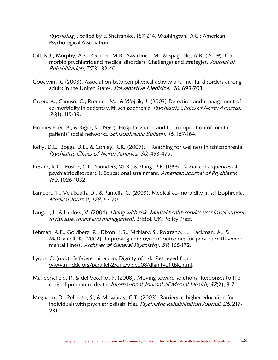Psychology, edited by E. Shafranske, 187-214. Washington, D.C.: American Psychological Association.

- Gill, K.J., Murphy, A.S., Zechner, M.R., Swarbrick, M., & Spagnolo, A.B. (2009). Comorbid psychiatric and medical disorders: Challenges and strategies. Journal of Rehabilitation,75(3),32-40.
- Goodwin, R. (2003). Association between physical activity and mental disorders among adults in the United States. Preventative Medicine, 36, 698-703.
- Green, A., Canuso, C., Brenner, M., & Wojcik, J. (2003) Detection and management of co-morbidity in patients with schizophrenia. Psychiatric Clinics of North America, 26(1), 115-39.
- Holmes-Eber, P., & Riger, S. (1990). Hospitalization and the composition of mental patients' social networks. Schizophrenia Bulletin, 16, 157-164.
- Kelly, D.L., Boggs, D.L., & Conley, R.R. (2007). Reaching for wellness in schizophrenia. Psychiatric Clinics of North America, 30, 453-479.
- Kessler, R.C., Foster, C.L., Saunders, W.B., & Stang, P.E. (1995). Social consequences of psychiatric disorders, I: Educational attainment. American Journal of Psychiatry, 152, 1026-1032.
- Lambert, T., Velakoulis, D., & Pantelis, C. (2003). Medical co-morbidity in schizophrenia. Medical Journal, 178, 67-70.
- Langan, J., & Lindow, V. (2004). Living with risk: Mental health service user involvement in risk assessment and management. Bristol, UK: Policy Press.
- Lehman, A.F., Goldberg, R., Dixon, L.B., McNary, S., Postrado, L., Hackman, A., & McDonnell, K. (2002). Improving employment outcomes for persons with severe mental illness. Archives of General Psychiatry, 59, 165-172.
- Lyons, C. (n.d.). Self-determination: Dignity of risk. Retrieved from [www.mnddc.org/parallels2/one/video08/dignityofRisk.html.](http://www.mnddc.org/parallels2/one/video08/dignityofRisk.html)
- Manderscheid, R. & del Vecchio, P. (2008). Moving toward solutions: Responses to the crisis of premature death. International Journal of Mental Health, 37(2), 3-7.
- Megivern, D., Pellerito, S., & Mowbray, C.T. (2003). Barriers to higher education for individuals with psychiatric disabilities. Psychiatric Rehabilitation Journal, 26, 217-231.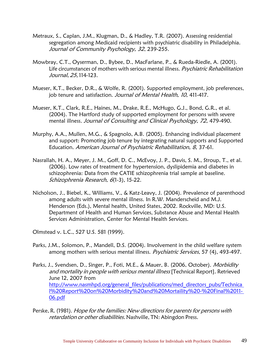- Metraux, S., Caplan, J.M., Klugman, D., & Hadley, T.R. (2007). Assessing residential segregation among Medicaid recipients with psychiatric disability in Philadelphia. Journal of Community Psychology, 32, 239-255.
- Mowbray, C.T., Oyserman, D., Bybee, D., MacFarlane, P., & Rueda-Riedle, A. (2001). Life circumstances of mothers with serious mental illness. Psychiatric Rehabilitation Journal, 25,114-123.
- Mueser, K.T., Becker, D.R., & Wolfe, R. (2001). Supported employment, job preferences, job tenure and satisfaction. Journal of Mental Health, 10, 411-417.
- Mueser, K.T., Clark, R.E., Haines, M., Drake, R.E., McHugo, G.J., Bond, G.R., et al. (2004). The Hartford study of supported employment for persons with severe mental illness. Journal of Consulting and Clinical Psychology, 72, 479-490.
- Murphy, A.A., Mullen, M.G., & Spagnolo, A.B. (2005). Enhancing individual placement and support: Promoting job tenure by integrating natural supports and Supported Education. American Journal of Psychiatric Rehabilitation, 8, 37-61.
- Nasrallah, H. A., Meyer, J. M., Goff, D. C., McEvoy, J. P., Davis, S. M., Stroup, T., et al. (2006). Low rates of treatment for hypertension, dyslipidemia and diabetes in schizophrenia: Data from the CATIE schizophrenia trial sample at baseline. Schizophrenia Research, 6(1-3), 15-22.
- Nicholson, J., Biebel, K., Williams, V., & Katz-Leavy, J. (2004). Prevalence of parenthood among adults with severe mental illness. In R.W. Manderscheid and M.J. Henderson (Eds.), Mental health, United States, 2002. Rockville, MD: U.S. Department of Health and Human Services, Substance Abuse and Mental Health Services Administration, Center for Mental Health Services.

Olmstead v. L.C., 527 U.S. 581 (1999).

- Parks, J.M., Solomon, P., Mandell, D.S. (2004). Involvement in the child welfare system among mothers with serious mental illness. Psychiatric Services, 57 (4), 493-497.
- Parks, J., Svendsen, D., Singer, P., Foti, M.E., & Mauer, B. (2006, October). Morbidity and mortality in people with serious mental illness [Technical Report]. Retrieved June 12, 2007 from [http://www.nasmhpd.org/general\\_files/publications/med\\_directors\\_pubs/Technica](http://www.nasmhpd.org/general_files/publications/med_directors_pubs/Technical%20Report%20on%20Morbidity%20and%20Mortaility%20-%20Final%2011-06.pdf) [l%20Report%20on%20Morbidity%20and%20Mortaility%20-%20Final%2011-](http://www.nasmhpd.org/general_files/publications/med_directors_pubs/Technical%20Report%20on%20Morbidity%20and%20Mortaility%20-%20Final%2011-06.pdf) [06.pdf](http://www.nasmhpd.org/general_files/publications/med_directors_pubs/Technical%20Report%20on%20Morbidity%20and%20Mortaility%20-%20Final%2011-06.pdf)
- Perske, R. (1981). Hope for the families: New directions for parents for persons with retardation or other disabilities. Nashville, TN: Abingdon Press.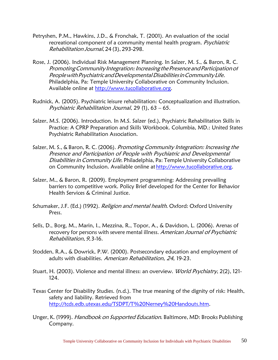- Petryshen, P.M., Hawkins, J.D., & Fronchak, T. (2001). An evaluation of the social recreational component of a community mental health program. Psychiatric Rehabilitation Journal, 24 (3), 293-298.
- Rose, J. (2006). Individual Risk Management Planning. In Salzer, M. S., & Baron, R. C. Promoting Community Integration: Increasing the Presence and Participation of People with Psychiatric and Developmental Disabilities in Community Life. Philadelphia, Pa: Temple University Collaborative on Community Inclusion. Available online at [http://www.tucollaborative.org.](http://www.tucollaborative.org/)
- Rudnick, A. (2005). Psychiatric leisure rehabilitation: Conceptualization and illustration. Psychiatric Rehabilitation Journal, 29 (1), 63 – 65.
- Salzer, M.S. (2006). Introduction. In M.S. Salzer (ed.), Psychiatric Rehabilitation Skills in Practice: A CPRP Preparation and Skills Workbook. Columbia, MD.: United States Psychiatric Rehabilitation Association.
- Salzer, M. S., & Baron, R. C. (2006). Promoting Community Integration: Increasing the Presence and Participation of People with Psychiatric and Developmental Disabilities in Community Life. Philadelphia, Pa: Temple University Collaborative on Community Inclusion. Available online at [http://www.tucollaborative.org.](http://www.tucollaborative.org/)
- Salzer, M., & Baron, R. (2009). Employment programming: Addressing prevailing barriers to competitive work. Policy Brief developed for the Center for Behavior Health Services & Criminal Justice.
- Schumaker, J.F. (Ed.) (1992). *Religion and mental health*. Oxford: Oxford University Press.
- Sells, D., Borg, M., Marin, I., Mezzina, R., Topor, A., & Davidson, L. (2006). Arenas of recovery for persons with severe mental illness. American Journal of Psychiatric Rehabilitation, 9, 3-16.
- Stodden, R.A., & Dowrick, P.W. (2000). Postsecondary education and employment of adults with disabilities. American Rehabilitation, 24, 19-23.
- Stuart, H. (2003). Violence and mental illness: an overview. World Psychiatry, 2(2), 121-124.
- Texas Center for Disability Studies. (n.d.). The true meaning of the dignity of risk: Health, safety and liability. Retrieved from [http://tcds.edb.utexas.edu/TSDPT/T%20Nerney%20Handouts.htm.](http://tcds.edb.utexas.edu/TSDPT/T%20Nerney%20Handouts.htm)
- Unger, K. (1999). Handbook on Supported Education. Baltimore, MD: Brooks Publishing Company.